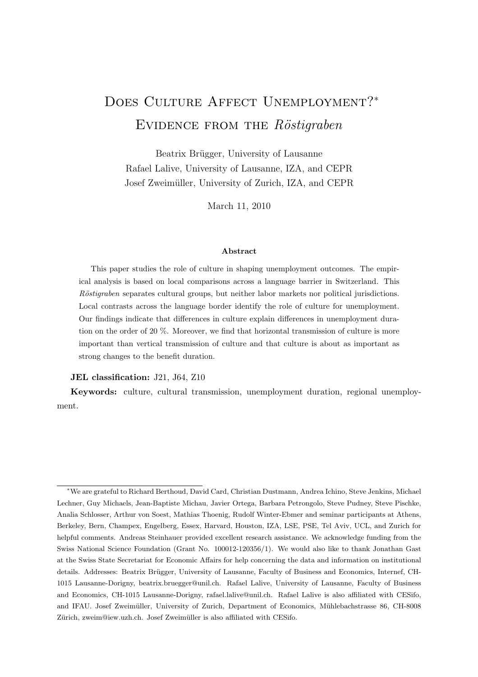# DOES CULTURE AFFECT UNEMPLOYMENT?<sup>\*</sup> EVIDENCE FROM THE  $R\ddot{o}stigraben$

Beatrix Brügger, University of Lausanne Rafael Lalive, University of Lausanne, IZA, and CEPR Josef Zweimüller, University of Zurich, IZA, and CEPR

March 11, 2010

#### Abstract

This paper studies the role of culture in shaping unemployment outcomes. The empirical analysis is based on local comparisons across a language barrier in Switzerland. This Röstigraben separates cultural groups, but neither labor markets nor political jurisdictions. Local contrasts across the language border identify the role of culture for unemployment. Our findings indicate that differences in culture explain differences in unemployment duration on the order of 20 %. Moreover, we find that horizontal transmission of culture is more important than vertical transmission of culture and that culture is about as important as strong changes to the benefit duration.

#### JEL classification: J21, J64, Z10

Keywords: culture, cultural transmission, unemployment duration, regional unemployment.

<sup>∗</sup>We are grateful to Richard Berthoud, David Card, Christian Dustmann, Andrea Ichino, Steve Jenkins, Michael Lechner, Guy Michaels, Jean-Baptiste Michau, Javier Ortega, Barbara Petrongolo, Steve Pudney, Steve Pischke, Analia Schlosser, Arthur von Soest, Mathias Thoenig, Rudolf Winter-Ebmer and seminar participants at Athens, Berkeley, Bern, Champex, Engelberg, Essex, Harvard, Houston, IZA, LSE, PSE, Tel Aviv, UCL, and Zurich for helpful comments. Andreas Steinhauer provided excellent research assistance. We acknowledge funding from the Swiss National Science Foundation (Grant No. 100012-120356/1). We would also like to thank Jonathan Gast at the Swiss State Secretariat for Economic Affairs for help concerning the data and information on institutional details. Addresses: Beatrix Brügger, University of Lausanne, Faculty of Business and Economics, Internef, CH-1015 Lausanne-Dorigny, beatrix.bruegger@unil.ch. Rafael Lalive, University of Lausanne, Faculty of Business and Economics, CH-1015 Lausanne-Dorigny, rafael.lalive@unil.ch. Rafael Lalive is also affiliated with CESifo, and IFAU. Josef Zweimüller, University of Zurich, Department of Economics, Mühlebachstrasse 86, CH-8008 Zürich, zweim@iew.uzh.ch. Josef Zweimüller is also affiliated with CESifo.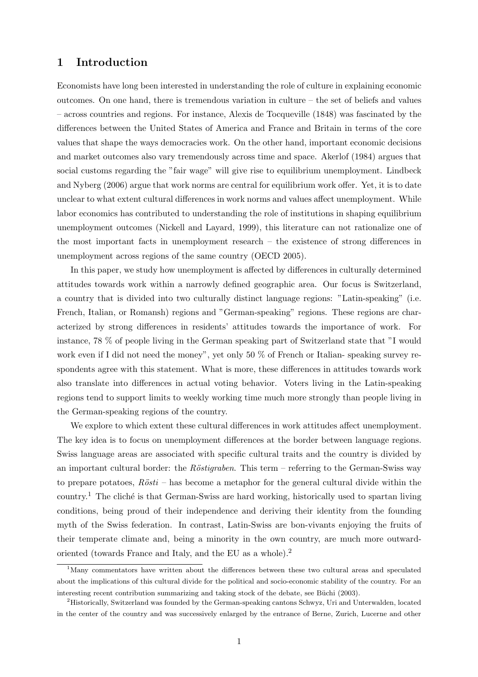# 1 Introduction

Economists have long been interested in understanding the role of culture in explaining economic outcomes. On one hand, there is tremendous variation in culture – the set of beliefs and values – across countries and regions. For instance, Alexis de Tocqueville (1848) was fascinated by the differences between the United States of America and France and Britain in terms of the core values that shape the ways democracies work. On the other hand, important economic decisions and market outcomes also vary tremendously across time and space. Akerlof (1984) argues that social customs regarding the "fair wage" will give rise to equilibrium unemployment. Lindbeck and Nyberg (2006) argue that work norms are central for equilibrium work offer. Yet, it is to date unclear to what extent cultural differences in work norms and values affect unemployment. While labor economics has contributed to understanding the role of institutions in shaping equilibrium unemployment outcomes (Nickell and Layard, 1999), this literature can not rationalize one of the most important facts in unemployment research – the existence of strong differences in unemployment across regions of the same country (OECD 2005).

In this paper, we study how unemployment is affected by differences in culturally determined attitudes towards work within a narrowly defined geographic area. Our focus is Switzerland, a country that is divided into two culturally distinct language regions: "Latin-speaking" (i.e. French, Italian, or Romansh) regions and "German-speaking" regions. These regions are characterized by strong differences in residents' attitudes towards the importance of work. For instance, 78 % of people living in the German speaking part of Switzerland state that "I would work even if I did not need the money", yet only 50 % of French or Italian- speaking survey respondents agree with this statement. What is more, these differences in attitudes towards work also translate into differences in actual voting behavior. Voters living in the Latin-speaking regions tend to support limits to weekly working time much more strongly than people living in the German-speaking regions of the country.

We explore to which extent these cultural differences in work attitudes affect unemployment. The key idea is to focus on unemployment differences at the border between language regions. Swiss language areas are associated with specific cultural traits and the country is divided by an important cultural border: the Röstigraben. This term – referring to the German-Swiss way to prepare potatoes,  $R\ddot{o}sti$  – has become a metaphor for the general cultural divide within the country.<sup>1</sup> The cliché is that German-Swiss are hard working, historically used to spartan living conditions, being proud of their independence and deriving their identity from the founding myth of the Swiss federation. In contrast, Latin-Swiss are bon-vivants enjoying the fruits of their temperate climate and, being a minority in the own country, are much more outwardoriented (towards France and Italy, and the EU as a whole).<sup>2</sup>

<sup>&</sup>lt;sup>1</sup>Many commentators have written about the differences between these two cultural areas and speculated about the implications of this cultural divide for the political and socio-economic stability of the country. For an interesting recent contribution summarizing and taking stock of the debate, see Büchi (2003).

<sup>2</sup>Historically, Switzerland was founded by the German-speaking cantons Schwyz, Uri and Unterwalden, located in the center of the country and was successively enlarged by the entrance of Berne, Zurich, Lucerne and other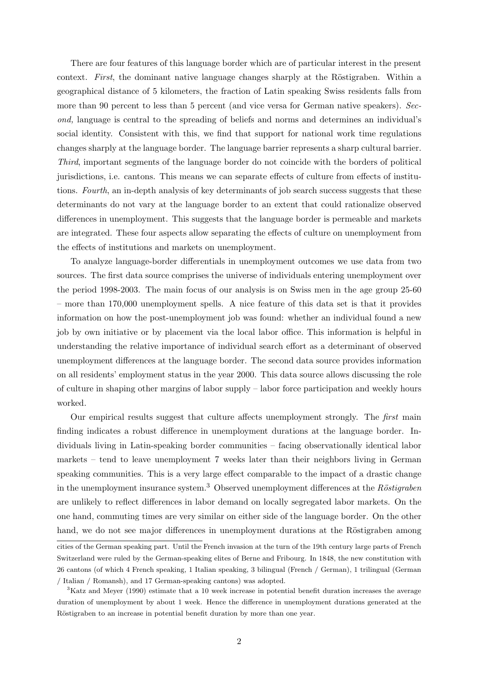There are four features of this language border which are of particular interest in the present context. First, the dominant native language changes sharply at the Röstigraben. Within a geographical distance of 5 kilometers, the fraction of Latin speaking Swiss residents falls from more than 90 percent to less than 5 percent (and vice versa for German native speakers). Second, language is central to the spreading of beliefs and norms and determines an individual's social identity. Consistent with this, we find that support for national work time regulations changes sharply at the language border. The language barrier represents a sharp cultural barrier. Third, important segments of the language border do not coincide with the borders of political jurisdictions, i.e. cantons. This means we can separate effects of culture from effects of institutions. Fourth, an in-depth analysis of key determinants of job search success suggests that these determinants do not vary at the language border to an extent that could rationalize observed differences in unemployment. This suggests that the language border is permeable and markets are integrated. These four aspects allow separating the effects of culture on unemployment from the effects of institutions and markets on unemployment.

To analyze language-border differentials in unemployment outcomes we use data from two sources. The first data source comprises the universe of individuals entering unemployment over the period 1998-2003. The main focus of our analysis is on Swiss men in the age group 25-60 – more than 170,000 unemployment spells. A nice feature of this data set is that it provides information on how the post-unemployment job was found: whether an individual found a new job by own initiative or by placement via the local labor office. This information is helpful in understanding the relative importance of individual search effort as a determinant of observed unemployment differences at the language border. The second data source provides information on all residents' employment status in the year 2000. This data source allows discussing the role of culture in shaping other margins of labor supply – labor force participation and weekly hours worked.

Our empirical results suggest that culture affects unemployment strongly. The first main finding indicates a robust difference in unemployment durations at the language border. Individuals living in Latin-speaking border communities – facing observationally identical labor markets – tend to leave unemployment 7 weeks later than their neighbors living in German speaking communities. This is a very large effect comparable to the impact of a drastic change in the unemployment insurance system.<sup>3</sup> Observed unemployment differences at the Röstigraben are unlikely to reflect differences in labor demand on locally segregated labor markets. On the one hand, commuting times are very similar on either side of the language border. On the other hand, we do not see major differences in unemployment durations at the Röstigraben among

cities of the German speaking part. Until the French invasion at the turn of the 19th century large parts of French Switzerland were ruled by the German-speaking elites of Berne and Fribourg. In 1848, the new constitution with 26 cantons (of which 4 French speaking, 1 Italian speaking, 3 bilingual (French / German), 1 trilingual (German / Italian / Romansh), and 17 German-speaking cantons) was adopted.

<sup>&</sup>lt;sup>3</sup>Katz and Meyer (1990) estimate that a 10 week increase in potential benefit duration increases the average duration of unemployment by about 1 week. Hence the difference in unemployment durations generated at the Röstigraben to an increase in potential benefit duration by more than one year.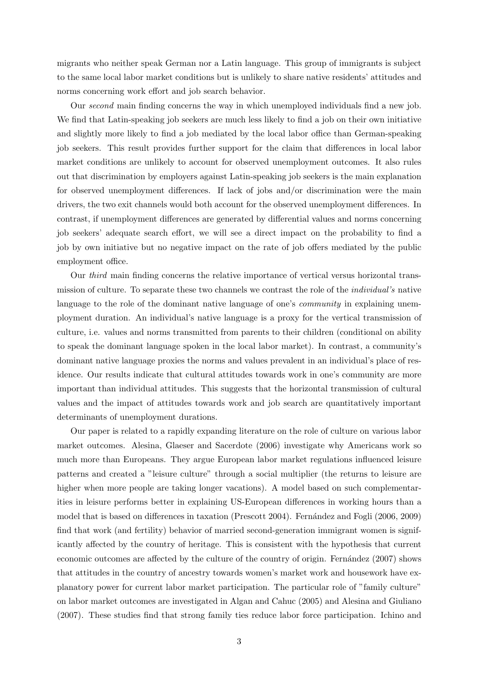migrants who neither speak German nor a Latin language. This group of immigrants is subject to the same local labor market conditions but is unlikely to share native residents' attitudes and norms concerning work effort and job search behavior.

Our second main finding concerns the way in which unemployed individuals find a new job. We find that Latin-speaking job seekers are much less likely to find a job on their own initiative and slightly more likely to find a job mediated by the local labor office than German-speaking job seekers. This result provides further support for the claim that differences in local labor market conditions are unlikely to account for observed unemployment outcomes. It also rules out that discrimination by employers against Latin-speaking job seekers is the main explanation for observed unemployment differences. If lack of jobs and/or discrimination were the main drivers, the two exit channels would both account for the observed unemployment differences. In contrast, if unemployment differences are generated by differential values and norms concerning job seekers' adequate search effort, we will see a direct impact on the probability to find a job by own initiative but no negative impact on the rate of job offers mediated by the public employment office.

Our third main finding concerns the relative importance of vertical versus horizontal transmission of culture. To separate these two channels we contrast the role of the individual's native language to the role of the dominant native language of one's *community* in explaining unemployment duration. An individual's native language is a proxy for the vertical transmission of culture, i.e. values and norms transmitted from parents to their children (conditional on ability to speak the dominant language spoken in the local labor market). In contrast, a community's dominant native language proxies the norms and values prevalent in an individual's place of residence. Our results indicate that cultural attitudes towards work in one's community are more important than individual attitudes. This suggests that the horizontal transmission of cultural values and the impact of attitudes towards work and job search are quantitatively important determinants of unemployment durations.

Our paper is related to a rapidly expanding literature on the role of culture on various labor market outcomes. Alesina, Glaeser and Sacerdote (2006) investigate why Americans work so much more than Europeans. They argue European labor market regulations influenced leisure patterns and created a "leisure culture" through a social multiplier (the returns to leisure are higher when more people are taking longer vacations). A model based on such complementarities in leisure performs better in explaining US-European differences in working hours than a model that is based on differences in taxation (Prescott 2004). Fernández and Fogli (2006, 2009) find that work (and fertility) behavior of married second-generation immigrant women is significantly affected by the country of heritage. This is consistent with the hypothesis that current economic outcomes are affected by the culture of the country of origin. Fernandez (2007) shows that attitudes in the country of ancestry towards women's market work and housework have explanatory power for current labor market participation. The particular role of "family culture" on labor market outcomes are investigated in Algan and Cahuc (2005) and Alesina and Giuliano (2007). These studies find that strong family ties reduce labor force participation. Ichino and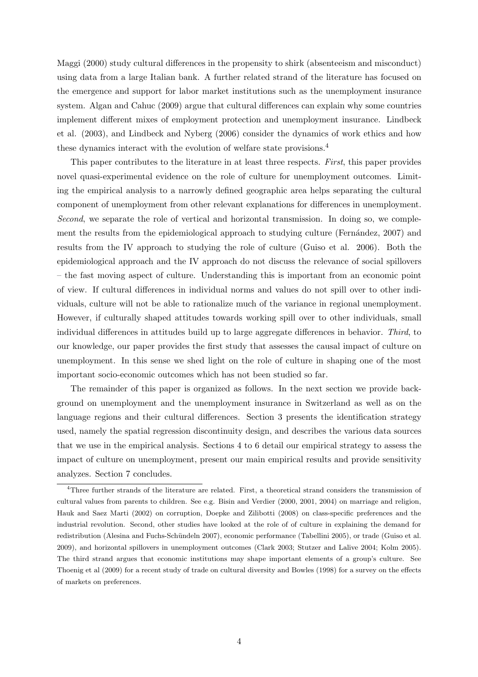Maggi (2000) study cultural differences in the propensity to shirk (absenteeism and misconduct) using data from a large Italian bank. A further related strand of the literature has focused on the emergence and support for labor market institutions such as the unemployment insurance system. Algan and Cahuc (2009) argue that cultural differences can explain why some countries implement different mixes of employment protection and unemployment insurance. Lindbeck et al. (2003), and Lindbeck and Nyberg (2006) consider the dynamics of work ethics and how these dynamics interact with the evolution of welfare state provisions.<sup>4</sup>

This paper contributes to the literature in at least three respects. First, this paper provides novel quasi-experimental evidence on the role of culture for unemployment outcomes. Limiting the empirical analysis to a narrowly defined geographic area helps separating the cultural component of unemployment from other relevant explanations for differences in unemployment. Second, we separate the role of vertical and horizontal transmission. In doing so, we complement the results from the epidemiological approach to studying culture (Fernández, 2007) and results from the IV approach to studying the role of culture (Guiso et al. 2006). Both the epidemiological approach and the IV approach do not discuss the relevance of social spillovers – the fast moving aspect of culture. Understanding this is important from an economic point of view. If cultural differences in individual norms and values do not spill over to other individuals, culture will not be able to rationalize much of the variance in regional unemployment. However, if culturally shaped attitudes towards working spill over to other individuals, small individual differences in attitudes build up to large aggregate differences in behavior. Third, to our knowledge, our paper provides the first study that assesses the causal impact of culture on unemployment. In this sense we shed light on the role of culture in shaping one of the most important socio-economic outcomes which has not been studied so far.

The remainder of this paper is organized as follows. In the next section we provide background on unemployment and the unemployment insurance in Switzerland as well as on the language regions and their cultural differences. Section 3 presents the identification strategy used, namely the spatial regression discontinuity design, and describes the various data sources that we use in the empirical analysis. Sections 4 to 6 detail our empirical strategy to assess the impact of culture on unemployment, present our main empirical results and provide sensitivity analyzes. Section 7 concludes.

<sup>4</sup>Three further strands of the literature are related. First, a theoretical strand considers the transmission of cultural values from parents to children. See e.g. Bisin and Verdier (2000, 2001, 2004) on marriage and religion, Hauk and Saez Marti (2002) on corruption, Doepke and Zilibotti (2008) on class-specific preferences and the industrial revolution. Second, other studies have looked at the role of of culture in explaining the demand for redistribution (Alesina and Fuchs-Schündeln 2007), economic performance (Tabellini 2005), or trade (Guiso et al. 2009), and horizontal spillovers in unemployment outcomes (Clark 2003; Stutzer and Lalive 2004; Kolm 2005). The third strand argues that economic institutions may shape important elements of a group's culture. See Thoenig et al (2009) for a recent study of trade on cultural diversity and Bowles (1998) for a survey on the effects of markets on preferences.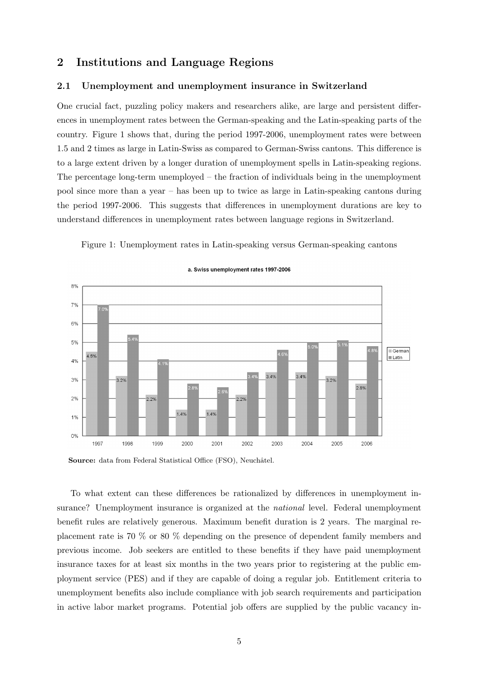# 2 Institutions and Language Regions

#### 2.1 Unemployment and unemployment insurance in Switzerland

One crucial fact, puzzling policy makers and researchers alike, are large and persistent differences in unemployment rates between the German-speaking and the Latin-speaking parts of the country. Figure 1 shows that, during the period 1997-2006, unemployment rates were between 1.5 and 2 times as large in Latin-Swiss as compared to German-Swiss cantons. This difference is to a large extent driven by a longer duration of unemployment spells in Latin-speaking regions. The percentage long-term unemployed – the fraction of individuals being in the unemployment pool since more than a year – has been up to twice as large in Latin-speaking cantons during the period 1997-2006. This suggests that differences in unemployment durations are key to understand differences in unemployment rates between language regions in Switzerland.

Figure 1: Unemployment rates in Latin-speaking versus German-speaking cantons



#### a. Swiss unemployment rates 1997-2006

Source: data from Federal Statistical Office (FSO), Neuchâtel.

To what extent can these differences be rationalized by differences in unemployment insurance? Unemployment insurance is organized at the *national* level. Federal unemployment benefit rules are relatively generous. Maximum benefit duration is 2 years. The marginal replacement rate is 70 % or 80 % depending on the presence of dependent family members and previous income. Job seekers are entitled to these benefits if they have paid unemployment insurance taxes for at least six months in the two years prior to registering at the public employment service (PES) and if they are capable of doing a regular job. Entitlement criteria to unemployment benefits also include compliance with job search requirements and participation in active labor market programs. Potential job offers are supplied by the public vacancy in-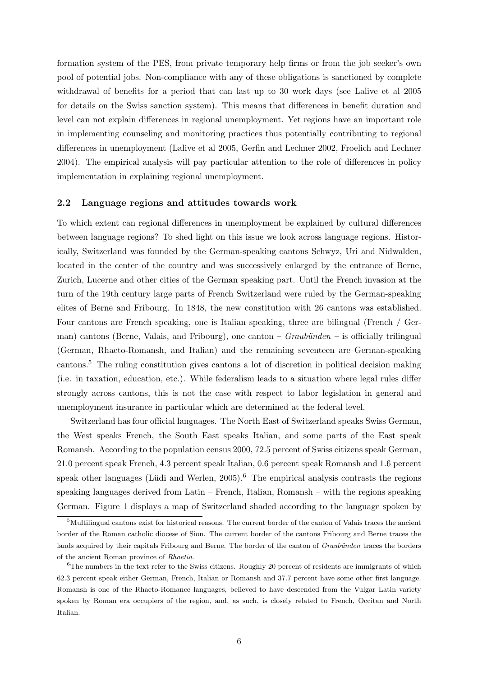formation system of the PES, from private temporary help firms or from the job seeker's own pool of potential jobs. Non-compliance with any of these obligations is sanctioned by complete withdrawal of benefits for a period that can last up to 30 work days (see Lalive et al 2005 for details on the Swiss sanction system). This means that differences in benefit duration and level can not explain differences in regional unemployment. Yet regions have an important role in implementing counseling and monitoring practices thus potentially contributing to regional differences in unemployment (Lalive et al 2005, Gerfin and Lechner 2002, Froelich and Lechner 2004). The empirical analysis will pay particular attention to the role of differences in policy implementation in explaining regional unemployment.

#### 2.2 Language regions and attitudes towards work

To which extent can regional differences in unemployment be explained by cultural differences between language regions? To shed light on this issue we look across language regions. Historically, Switzerland was founded by the German-speaking cantons Schwyz, Uri and Nidwalden, located in the center of the country and was successively enlarged by the entrance of Berne, Zurich, Lucerne and other cities of the German speaking part. Until the French invasion at the turn of the 19th century large parts of French Switzerland were ruled by the German-speaking elites of Berne and Fribourg. In 1848, the new constitution with 26 cantons was established. Four cantons are French speaking, one is Italian speaking, three are bilingual (French / German) cantons (Berne, Valais, and Fribourg), one canton –  $Graubünden$  – is officially trilingual (German, Rhaeto-Romansh, and Italian) and the remaining seventeen are German-speaking cantons.<sup>5</sup> The ruling constitution gives cantons a lot of discretion in political decision making (i.e. in taxation, education, etc.). While federalism leads to a situation where legal rules differ strongly across cantons, this is not the case with respect to labor legislation in general and unemployment insurance in particular which are determined at the federal level.

Switzerland has four official languages. The North East of Switzerland speaks Swiss German, the West speaks French, the South East speaks Italian, and some parts of the East speak Romansh. According to the population census 2000, 72.5 percent of Swiss citizens speak German, 21.0 percent speak French, 4.3 percent speak Italian, 0.6 percent speak Romansh and 1.6 percent speak other languages (Lüdi and Werlen,  $2005$ ).<sup>6</sup> The empirical analysis contrasts the regions speaking languages derived from Latin – French, Italian, Romansh – with the regions speaking German. Figure 1 displays a map of Switzerland shaded according to the language spoken by

 $5$ Multilingual cantons exist for historical reasons. The current border of the canton of Valais traces the ancient border of the Roman catholic diocese of Sion. The current border of the cantons Fribourg and Berne traces the lands acquired by their capitals Fribourg and Berne. The border of the canton of Graubünden traces the borders of the ancient Roman province of Rhaetia.

<sup>&</sup>lt;sup>6</sup>The numbers in the text refer to the Swiss citizens. Roughly 20 percent of residents are immigrants of which 62.3 percent speak either German, French, Italian or Romansh and 37.7 percent have some other first language. Romansh is one of the Rhaeto-Romance languages, believed to have descended from the Vulgar Latin variety spoken by Roman era occupiers of the region, and, as such, is closely related to French, Occitan and North Italian.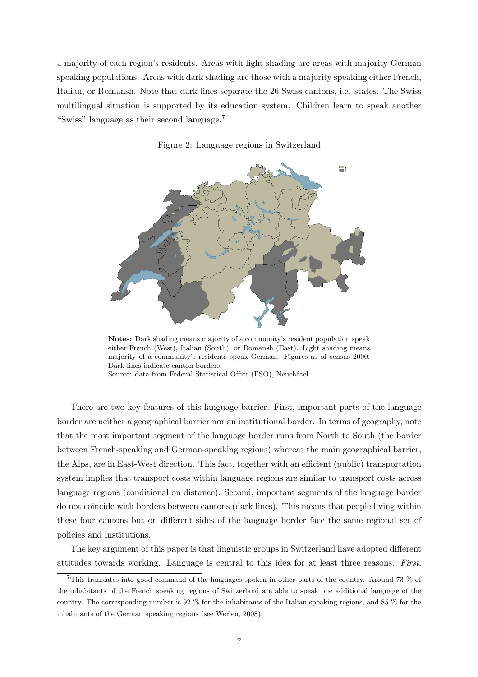a majority of each region's residents. Areas with light shading are areas with majority German speaking populations. Areas with dark shading are those with a majority speaking either French, Italian, or Romansh. Note that dark lines separate the 26 Swiss cantons, i.e. states. The Swiss multilingual situation is supported by its education system. Children learn to speak another "Swiss" language as their second language.<sup>7</sup>





Notes: Dark shading means majority of a community's resident population speak either French (West), Italian (South), or Romansh (East). Light shading means majority of a community's residents speak German. Figures as of census 2000. Dark lines indicate canton borders. Source: data from Federal Statistical Office (FSO), Neuchâtel.

There are two key features of this language barrier. First, important parts of the language border are neither a geographical barrier nor an institutional border. In terms of geography, note that the most important segment of the language border runs from North to South (the border between French-speaking and German-speaking regions) whereas the main geographical barrier, the Alps, are in East-West direction. This fact, together with an efficient (public) transportation system implies that transport costs within language regions are similar to transport costs across language regions (conditional on distance). Second, important segments of the language border do not coincide with borders between cantons (dark lines). This means that people living within these four cantons but on different sides of the language border face the same regional set of policies and institutions.

The key argument of this paper is that linguistic groups in Switzerland have adopted different attitudes towards working. Language is central to this idea for at least three reasons. First,

<sup>7</sup>This translates into good command of the languages spoken in other parts of the country. Around 73 % of the inhabitants of the French speaking regions of Switzerland are able to speak one additional language of the country. The corresponding number is 92 % for the inhabitants of the Italian speaking regions, and 85 % for the inhabitants of the German speaking regions (see Werlen, 2008).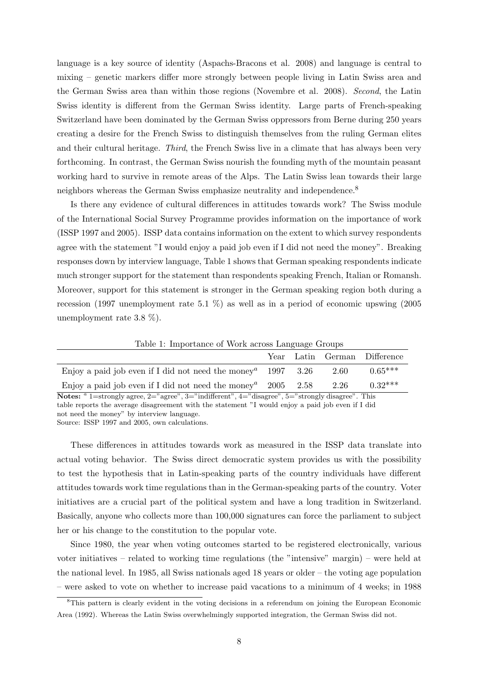language is a key source of identity (Aspachs-Bracons et al. 2008) and language is central to mixing – genetic markers differ more strongly between people living in Latin Swiss area and the German Swiss area than within those regions (Novembre et al. 2008). Second, the Latin Swiss identity is different from the German Swiss identity. Large parts of French-speaking Switzerland have been dominated by the German Swiss oppressors from Berne during 250 years creating a desire for the French Swiss to distinguish themselves from the ruling German elites and their cultural heritage. Third, the French Swiss live in a climate that has always been very forthcoming. In contrast, the German Swiss nourish the founding myth of the mountain peasant working hard to survive in remote areas of the Alps. The Latin Swiss lean towards their large neighbors whereas the German Swiss emphasize neutrality and independence.<sup>8</sup>

Is there any evidence of cultural differences in attitudes towards work? The Swiss module of the International Social Survey Programme provides information on the importance of work (ISSP 1997 and 2005). ISSP data contains information on the extent to which survey respondents agree with the statement "I would enjoy a paid job even if I did not need the money". Breaking responses down by interview language, Table 1 shows that German speaking respondents indicate much stronger support for the statement than respondents speaking French, Italian or Romansh. Moreover, support for this statement is stronger in the German speaking region both during a recession (1997 unemployment rate 5.1 %) as well as in a period of economic upswing (2005 unemployment rate 3.8 %).

Year Latin German Difference Enjoy a paid job even if I did not need the money<sup>a</sup> 1997 3.26 2.60 0.65<sup>\*\*\*</sup> Enjoy a paid job even if I did not need the money<sup>a</sup> 2005 2.58 2.26 0.32<sup>\*\*\*</sup>

Table 1: Importance of Work across Language Groups

Notes:  $a_1 = s$  1 = strongly agree, 2="agree", 3="indifferent", 4="disagree", 5="strongly disagree". This table reports the average disagreement with the statement "I would enjoy a paid job even if I did not need the money" by interview language.

Source: ISSP 1997 and 2005, own calculations.

These differences in attitudes towards work as measured in the ISSP data translate into actual voting behavior. The Swiss direct democratic system provides us with the possibility to test the hypothesis that in Latin-speaking parts of the country individuals have different attitudes towards work time regulations than in the German-speaking parts of the country. Voter initiatives are a crucial part of the political system and have a long tradition in Switzerland. Basically, anyone who collects more than 100,000 signatures can force the parliament to subject her or his change to the constitution to the popular vote.

Since 1980, the year when voting outcomes started to be registered electronically, various voter initiatives – related to working time regulations (the "intensive" margin) – were held at the national level. In 1985, all Swiss nationals aged 18 years or older – the voting age population – were asked to vote on whether to increase paid vacations to a minimum of 4 weeks; in 1988

<sup>8</sup>This pattern is clearly evident in the voting decisions in a referendum on joining the European Economic Area (1992). Whereas the Latin Swiss overwhelmingly supported integration, the German Swiss did not.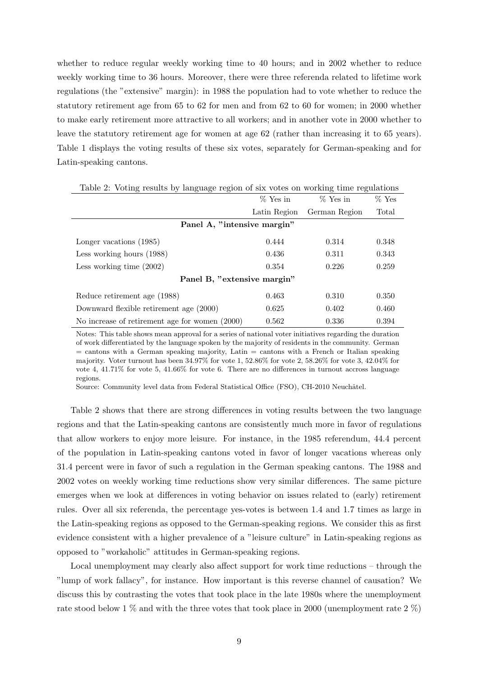whether to reduce regular weekly working time to 40 hours; and in 2002 whether to reduce weekly working time to 36 hours. Moreover, there were three referenda related to lifetime work regulations (the "extensive" margin): in 1988 the population had to vote whether to reduce the statutory retirement age from 65 to 62 for men and from 62 to 60 for women; in 2000 whether to make early retirement more attractive to all workers; and in another vote in 2000 whether to leave the statutory retirement age for women at age 62 (rather than increasing it to 65 years). Table 1 displays the voting results of these six votes, separately for German-speaking and for Latin-speaking cantons.

| $\cdots$                                       |              |               |         |
|------------------------------------------------|--------------|---------------|---------|
|                                                | % Yes in     | $%$ Yes in    | $%$ Yes |
|                                                | Latin Region | German Region | Total   |
| Panel A, "intensive margin"                    |              |               |         |
| Longer vacations (1985)                        | 0.444        | 0.314         | 0.348   |
| Less working hours (1988)                      | 0.436        | 0.311         | 0.343   |
| Less working time $(2002)$                     | 0.354        | 0.226         | 0.259   |
| Panel B, "extensive margin"                    |              |               |         |
| Reduce retirement age (1988)                   | 0.463        | 0.310         | 0.350   |
| Downward flexible retirement age (2000)        | 0.625        | 0.402         | 0.460   |
| No increase of retirement age for women (2000) | 0.562        | 0.336         | 0.394   |

|  |  |  |  |  |  | Table 2: Voting results by language region of six votes on working time regulations |
|--|--|--|--|--|--|-------------------------------------------------------------------------------------|
|  |  |  |  |  |  |                                                                                     |

Notes: This table shows mean approval for a series of national voter initiatives regarding the duration of work differentiated by the language spoken by the majority of residents in the community. German  $=$  cantons with a German speaking majority, Latin  $=$  cantons with a French or Italian speaking majority. Voter turnout has been 34.97% for vote 1, 52.86% for vote 2, 58.26% for vote 3, 42.04% for vote 4, 41.71% for vote 5, 41.66% for vote 6. There are no differences in turnout accross language regions.

Source: Community level data from Federal Statistical Office (FSO), CH-2010 Neuchâtel.

Table 2 shows that there are strong differences in voting results between the two language regions and that the Latin-speaking cantons are consistently much more in favor of regulations that allow workers to enjoy more leisure. For instance, in the 1985 referendum, 44.4 percent of the population in Latin-speaking cantons voted in favor of longer vacations whereas only 31.4 percent were in favor of such a regulation in the German speaking cantons. The 1988 and 2002 votes on weekly working time reductions show very similar differences. The same picture emerges when we look at differences in voting behavior on issues related to (early) retirement rules. Over all six referenda, the percentage yes-votes is between 1.4 and 1.7 times as large in the Latin-speaking regions as opposed to the German-speaking regions. We consider this as first evidence consistent with a higher prevalence of a "leisure culture" in Latin-speaking regions as opposed to "workaholic" attitudes in German-speaking regions.

Local unemployment may clearly also affect support for work time reductions – through the "lump of work fallacy", for instance. How important is this reverse channel of causation? We discuss this by contrasting the votes that took place in the late 1980s where the unemployment rate stood below 1 % and with the three votes that took place in 2000 (unemployment rate  $2\%$ )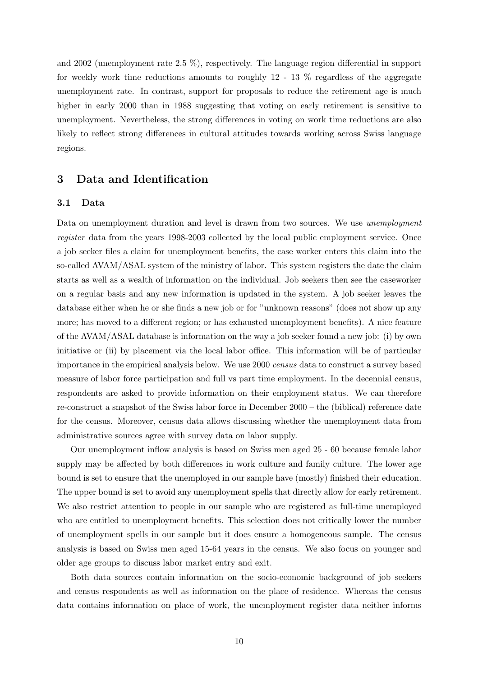and 2002 (unemployment rate 2.5 %), respectively. The language region differential in support for weekly work time reductions amounts to roughly  $12 - 13$  % regardless of the aggregate unemployment rate. In contrast, support for proposals to reduce the retirement age is much higher in early 2000 than in 1988 suggesting that voting on early retirement is sensitive to unemployment. Nevertheless, the strong differences in voting on work time reductions are also likely to reflect strong differences in cultural attitudes towards working across Swiss language regions.

# 3 Data and Identification

#### 3.1 Data

Data on unemployment duration and level is drawn from two sources. We use *unemployment* register data from the years 1998-2003 collected by the local public employment service. Once a job seeker files a claim for unemployment benefits, the case worker enters this claim into the so-called AVAM/ASAL system of the ministry of labor. This system registers the date the claim starts as well as a wealth of information on the individual. Job seekers then see the caseworker on a regular basis and any new information is updated in the system. A job seeker leaves the database either when he or she finds a new job or for "unknown reasons" (does not show up any more; has moved to a different region; or has exhausted unemployment benefits). A nice feature of the AVAM/ASAL database is information on the way a job seeker found a new job: (i) by own initiative or (ii) by placement via the local labor office. This information will be of particular importance in the empirical analysis below. We use 2000 census data to construct a survey based measure of labor force participation and full vs part time employment. In the decennial census, respondents are asked to provide information on their employment status. We can therefore re-construct a snapshot of the Swiss labor force in December 2000 – the (biblical) reference date for the census. Moreover, census data allows discussing whether the unemployment data from administrative sources agree with survey data on labor supply.

Our unemployment inflow analysis is based on Swiss men aged 25 - 60 because female labor supply may be affected by both differences in work culture and family culture. The lower age bound is set to ensure that the unemployed in our sample have (mostly) finished their education. The upper bound is set to avoid any unemployment spells that directly allow for early retirement. We also restrict attention to people in our sample who are registered as full-time unemployed who are entitled to unemployment benefits. This selection does not critically lower the number of unemployment spells in our sample but it does ensure a homogeneous sample. The census analysis is based on Swiss men aged 15-64 years in the census. We also focus on younger and older age groups to discuss labor market entry and exit.

Both data sources contain information on the socio-economic background of job seekers and census respondents as well as information on the place of residence. Whereas the census data contains information on place of work, the unemployment register data neither informs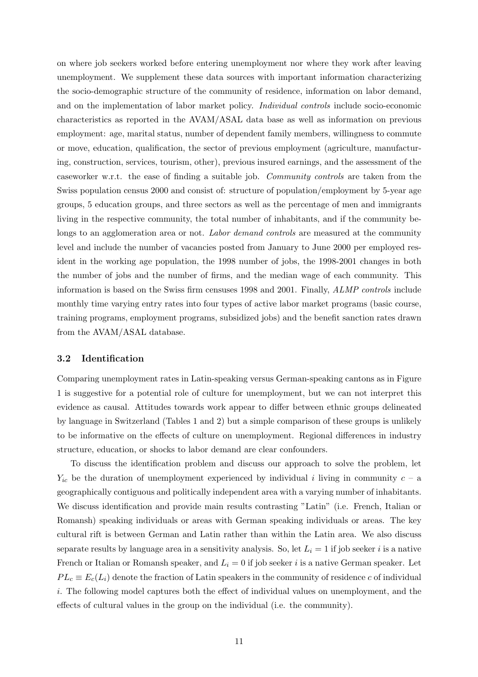on where job seekers worked before entering unemployment nor where they work after leaving unemployment. We supplement these data sources with important information characterizing the socio-demographic structure of the community of residence, information on labor demand, and on the implementation of labor market policy. Individual controls include socio-economic characteristics as reported in the AVAM/ASAL data base as well as information on previous employment: age, marital status, number of dependent family members, willingness to commute or move, education, qualification, the sector of previous employment (agriculture, manufacturing, construction, services, tourism, other), previous insured earnings, and the assessment of the caseworker w.r.t. the ease of finding a suitable job. Community controls are taken from the Swiss population census 2000 and consist of: structure of population/employment by 5-year age groups, 5 education groups, and three sectors as well as the percentage of men and immigrants living in the respective community, the total number of inhabitants, and if the community belongs to an agglomeration area or not. Labor demand controls are measured at the community level and include the number of vacancies posted from January to June 2000 per employed resident in the working age population, the 1998 number of jobs, the 1998-2001 changes in both the number of jobs and the number of firms, and the median wage of each community. This information is based on the Swiss firm censuses 1998 and 2001. Finally, ALMP controls include monthly time varying entry rates into four types of active labor market programs (basic course, training programs, employment programs, subsidized jobs) and the benefit sanction rates drawn from the AVAM/ASAL database.

#### 3.2 Identification

Comparing unemployment rates in Latin-speaking versus German-speaking cantons as in Figure 1 is suggestive for a potential role of culture for unemployment, but we can not interpret this evidence as causal. Attitudes towards work appear to differ between ethnic groups delineated by language in Switzerland (Tables 1 and 2) but a simple comparison of these groups is unlikely to be informative on the effects of culture on unemployment. Regional differences in industry structure, education, or shocks to labor demand are clear confounders.

To discuss the identification problem and discuss our approach to solve the problem, let  $Y_{ic}$  be the duration of unemployment experienced by individual i living in community  $c - a$ geographically contiguous and politically independent area with a varying number of inhabitants. We discuss identification and provide main results contrasting "Latin" (i.e. French, Italian or Romansh) speaking individuals or areas with German speaking individuals or areas. The key cultural rift is between German and Latin rather than within the Latin area. We also discuss separate results by language area in a sensitivity analysis. So, let  $L<sub>i</sub> = 1$  if job seeker i is a native French or Italian or Romansh speaker, and  $L_i = 0$  if job seeker i is a native German speaker. Let  $PL_c \equiv E_c(L_i)$  denote the fraction of Latin speakers in the community of residence c of individual i. The following model captures both the effect of individual values on unemployment, and the effects of cultural values in the group on the individual (i.e. the community).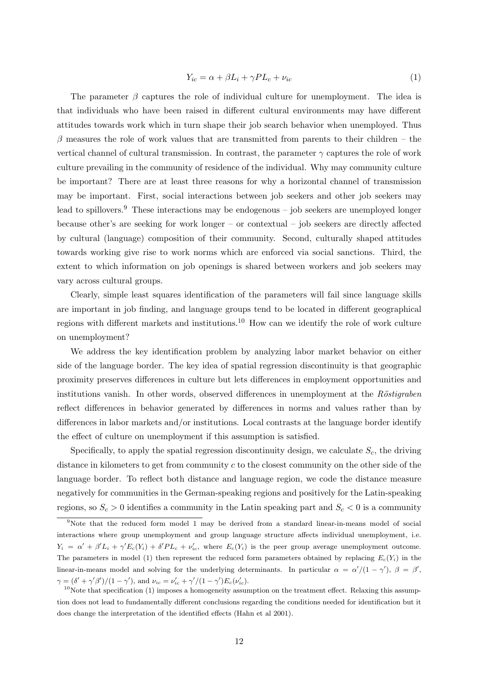$$
Y_{ic} = \alpha + \beta L_i + \gamma PL_c + \nu_{ic}
$$
\n<sup>(1)</sup>

The parameter  $\beta$  captures the role of individual culture for unemployment. The idea is that individuals who have been raised in different cultural environments may have different attitudes towards work which in turn shape their job search behavior when unemployed. Thus  $\beta$  measures the role of work values that are transmitted from parents to their children – the vertical channel of cultural transmission. In contrast, the parameter  $\gamma$  captures the role of work culture prevailing in the community of residence of the individual. Why may community culture be important? There are at least three reasons for why a horizontal channel of transmission may be important. First, social interactions between job seekers and other job seekers may lead to spillovers.<sup>9</sup> These interactions may be endogenous – job seekers are unemployed longer because other's are seeking for work longer – or contextual – job seekers are directly affected by cultural (language) composition of their community. Second, culturally shaped attitudes towards working give rise to work norms which are enforced via social sanctions. Third, the extent to which information on job openings is shared between workers and job seekers may vary across cultural groups.

Clearly, simple least squares identification of the parameters will fail since language skills are important in job finding, and language groups tend to be located in different geographical regions with different markets and institutions.<sup>10</sup> How can we identify the role of work culture on unemployment?

We address the key identification problem by analyzing labor market behavior on either side of the language border. The key idea of spatial regression discontinuity is that geographic proximity preserves differences in culture but lets differences in employment opportunities and institutions vanish. In other words, observed differences in unemployment at the  $R\ddot{o}stiqraben$ reflect differences in behavior generated by differences in norms and values rather than by differences in labor markets and/or institutions. Local contrasts at the language border identify the effect of culture on unemployment if this assumption is satisfied.

Specifically, to apply the spatial regression discontinuity design, we calculate  $S_c$ , the driving distance in kilometers to get from community  $c$  to the closest community on the other side of the language border. To reflect both distance and language region, we code the distance measure negatively for communities in the German-speaking regions and positively for the Latin-speaking regions, so  $S_c > 0$  identifies a community in the Latin speaking part and  $S_c < 0$  is a community

<sup>9</sup>Note that the reduced form model 1 may be derived from a standard linear-in-means model of social interactions where group unemployment and group language structure affects individual unemployment, i.e.  $Y_i = \alpha' + \beta' L_i + \gamma' E_c(Y_i) + \delta' PL_c + \nu'_{ic}$ , where  $E_c(Y_i)$  is the peer group average unemployment outcome. The parameters in model (1) then represent the reduced form parameters obtained by replacing  $E_c(Y_i)$  in the linear-in-means model and solving for the underlying determinants. In particular  $\alpha = \alpha'/(1-\gamma')$ ,  $\beta = \beta'$ ,  $\gamma = (\delta' + \gamma' \beta')/(1 - \gamma'),$  and  $\nu_{ic} = \nu'_{ic} + \gamma'/(1 - \gamma')E_c(\nu'_{ic}).$ 

 $10$ Note that specification (1) imposes a homogeneity assumption on the treatment effect. Relaxing this assumption does not lead to fundamentally different conclusions regarding the conditions needed for identification but it does change the interpretation of the identified effects (Hahn et al 2001).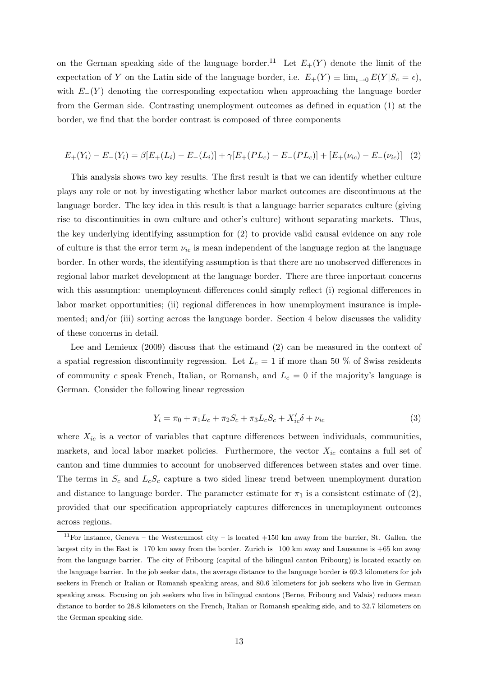on the German speaking side of the language border.<sup>11</sup> Let  $E_{+}(Y)$  denote the limit of the expectation of Y on the Latin side of the language border, i.e.  $E_{+}(Y) \equiv \lim_{\epsilon \to 0} E(Y|S_{c} = \epsilon)$ , with  $E_{-}(Y)$  denoting the corresponding expectation when approaching the language border from the German side. Contrasting unemployment outcomes as defined in equation (1) at the border, we find that the border contrast is composed of three components

$$
E_{+}(Y_i) - E_{-}(Y_i) = \beta[E_{+}(L_i) - E_{-}(L_i)] + \gamma[E_{+}(PL_c) - E_{-}(PL_c)] + [E_{+}(\nu_{ic}) - E_{-}(\nu_{ic})]
$$
(2)

This analysis shows two key results. The first result is that we can identify whether culture plays any role or not by investigating whether labor market outcomes are discontinuous at the language border. The key idea in this result is that a language barrier separates culture (giving rise to discontinuities in own culture and other's culture) without separating markets. Thus, the key underlying identifying assumption for (2) to provide valid causal evidence on any role of culture is that the error term  $\nu_{ic}$  is mean independent of the language region at the language border. In other words, the identifying assumption is that there are no unobserved differences in regional labor market development at the language border. There are three important concerns with this assumption: unemployment differences could simply reflect (i) regional differences in labor market opportunities; (ii) regional differences in how unemployment insurance is implemented; and/or (iii) sorting across the language border. Section 4 below discusses the validity of these concerns in detail.

Lee and Lemieux (2009) discuss that the estimand (2) can be measured in the context of a spatial regression discontinuity regression. Let  $L_c = 1$  if more than 50 % of Swiss residents of community c speak French, Italian, or Romansh, and  $L_c = 0$  if the majority's language is German. Consider the following linear regression

$$
Y_i = \pi_0 + \pi_1 L_c + \pi_2 S_c + \pi_3 L_c S_c + X'_{ic} \delta + \nu_{ic}
$$
\n(3)

where  $X_{ic}$  is a vector of variables that capture differences between individuals, communities, markets, and local labor market policies. Furthermore, the vector  $X_{ic}$  contains a full set of canton and time dummies to account for unobserved differences between states and over time. The terms in  $S_c$  and  $L_cS_c$  capture a two sided linear trend between unemployment duration and distance to language border. The parameter estimate for  $\pi_1$  is a consistent estimate of (2), provided that our specification appropriately captures differences in unemployment outcomes across regions.

 $11$ For instance, Geneva – the Westernmost city – is located  $+150$  km away from the barrier, St. Gallen, the largest city in the East is –170 km away from the border. Zurich is –100 km away and Lausanne is +65 km away from the language barrier. The city of Fribourg (capital of the bilingual canton Fribourg) is located exactly on the language barrier. In the job seeker data, the average distance to the language border is 69.3 kilometers for job seekers in French or Italian or Romansh speaking areas, and 80.6 kilometers for job seekers who live in German speaking areas. Focusing on job seekers who live in bilingual cantons (Berne, Fribourg and Valais) reduces mean distance to border to 28.8 kilometers on the French, Italian or Romansh speaking side, and to 32.7 kilometers on the German speaking side.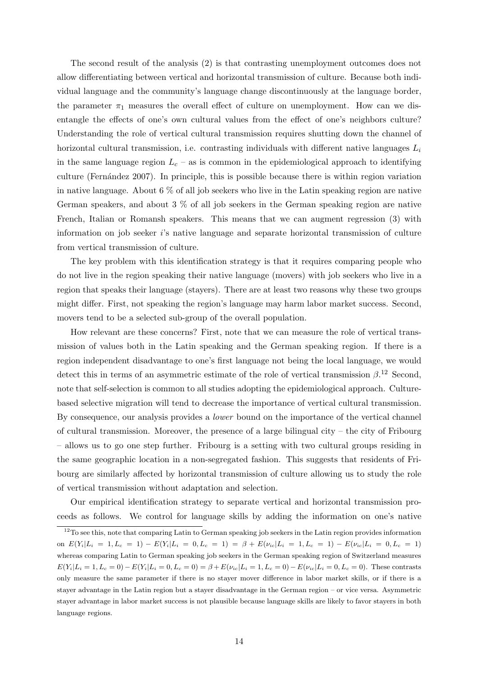The second result of the analysis (2) is that contrasting unemployment outcomes does not allow differentiating between vertical and horizontal transmission of culture. Because both individual language and the community's language change discontinuously at the language border, the parameter  $\pi_1$  measures the overall effect of culture on unemployment. How can we disentangle the effects of one's own cultural values from the effect of one's neighbors culture? Understanding the role of vertical cultural transmission requires shutting down the channel of horizontal cultural transmission, i.e. contrasting individuals with different native languages  $L_i$ in the same language region  $L_c$  – as is common in the epidemiological approach to identifying culture (Fern´andez 2007). In principle, this is possible because there is within region variation in native language. About 6 % of all job seekers who live in the Latin speaking region are native German speakers, and about 3 % of all job seekers in the German speaking region are native French, Italian or Romansh speakers. This means that we can augment regression (3) with information on job seeker  $i$ 's native language and separate horizontal transmission of culture from vertical transmission of culture.

The key problem with this identification strategy is that it requires comparing people who do not live in the region speaking their native language (movers) with job seekers who live in a region that speaks their language (stayers). There are at least two reasons why these two groups might differ. First, not speaking the region's language may harm labor market success. Second, movers tend to be a selected sub-group of the overall population.

How relevant are these concerns? First, note that we can measure the role of vertical transmission of values both in the Latin speaking and the German speaking region. If there is a region independent disadvantage to one's first language not being the local language, we would detect this in terms of an asymmetric estimate of the role of vertical transmission  $\beta$ .<sup>12</sup> Second, note that self-selection is common to all studies adopting the epidemiological approach. Culturebased selective migration will tend to decrease the importance of vertical cultural transmission. By consequence, our analysis provides a *lower* bound on the importance of the vertical channel of cultural transmission. Moreover, the presence of a large bilingual city – the city of Fribourg – allows us to go one step further. Fribourg is a setting with two cultural groups residing in the same geographic location in a non-segregated fashion. This suggests that residents of Fribourg are similarly affected by horizontal transmission of culture allowing us to study the role of vertical transmission without adaptation and selection.

Our empirical identification strategy to separate vertical and horizontal transmission proceeds as follows. We control for language skills by adding the information on one's native

 $12$ To see this, note that comparing Latin to German speaking job seekers in the Latin region provides information on  $E(Y_i|L_i = 1, L_c = 1) - E(Y_i|L_i = 0, L_c = 1) = \beta + E(\nu_{ic}|L_i = 1, L_c = 1) - E(\nu_{ic}|L_i = 0, L_c = 1)$ whereas comparing Latin to German speaking job seekers in the German speaking region of Switzerland measures  $E(Y_i|L_i = 1, L_c = 0) - E(Y_i|L_i = 0, L_c = 0) = \beta + E(\nu_{ic}|L_i = 1, L_c = 0) - E(\nu_{ic}|L_i = 0, L_c = 0)$ . These contrasts only measure the same parameter if there is no stayer mover difference in labor market skills, or if there is a stayer advantage in the Latin region but a stayer disadvantage in the German region – or vice versa. Asymmetric stayer advantage in labor market success is not plausible because language skills are likely to favor stayers in both language regions.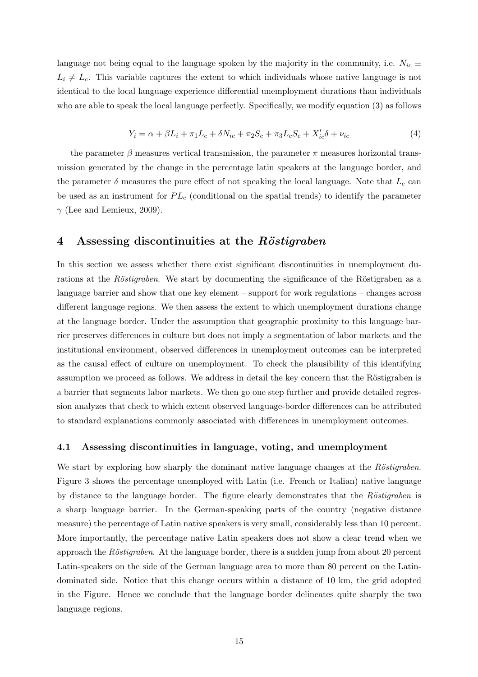language not being equal to the language spoken by the majority in the community, i.e.  $N_{ic} \equiv$  $L_i \neq L_c$ . This variable captures the extent to which individuals whose native language is not identical to the local language experience differential unemployment durations than individuals who are able to speak the local language perfectly. Specifically, we modify equation (3) as follows

$$
Y_i = \alpha + \beta L_i + \pi_1 L_c + \delta N_{ic} + \pi_2 S_c + \pi_3 L_c S_c + X'_{ic} \delta + \nu_{ic}
$$
 (4)

the parameter  $\beta$  measures vertical transmission, the parameter  $\pi$  measures horizontal transmission generated by the change in the percentage latin speakers at the language border, and the parameter  $\delta$  measures the pure effect of not speaking the local language. Note that  $L_c$  can be used as an instrument for  $PL_c$  (conditional on the spatial trends) to identify the parameter  $\gamma$  (Lee and Lemieux, 2009).

## 4 Assessing discontinuities at the  $R\ddot{o}stigraben$

In this section we assess whether there exist significant discontinuities in unemployment durations at the Röstigraben. We start by documenting the significance of the Röstigraben as a language barrier and show that one key element – support for work regulations – changes across different language regions. We then assess the extent to which unemployment durations change at the language border. Under the assumption that geographic proximity to this language barrier preserves differences in culture but does not imply a segmentation of labor markets and the institutional environment, observed differences in unemployment outcomes can be interpreted as the causal effect of culture on unemployment. To check the plausibility of this identifying assumption we proceed as follows. We address in detail the key concern that the Röstigraben is a barrier that segments labor markets. We then go one step further and provide detailed regression analyzes that check to which extent observed language-border differences can be attributed to standard explanations commonly associated with differences in unemployment outcomes.

#### 4.1 Assessing discontinuities in language, voting, and unemployment

We start by exploring how sharply the dominant native language changes at the  $R\ddot{o}stigraben$ . Figure 3 shows the percentage unemployed with Latin (i.e. French or Italian) native language by distance to the language border. The figure clearly demonstrates that the  $R\ddot{o}stigraben$  is a sharp language barrier. In the German-speaking parts of the country (negative distance measure) the percentage of Latin native speakers is very small, considerably less than 10 percent. More importantly, the percentage native Latin speakers does not show a clear trend when we approach the Röstigraben. At the language border, there is a sudden jump from about 20 percent Latin-speakers on the side of the German language area to more than 80 percent on the Latindominated side. Notice that this change occurs within a distance of 10 km, the grid adopted in the Figure. Hence we conclude that the language border delineates quite sharply the two language regions.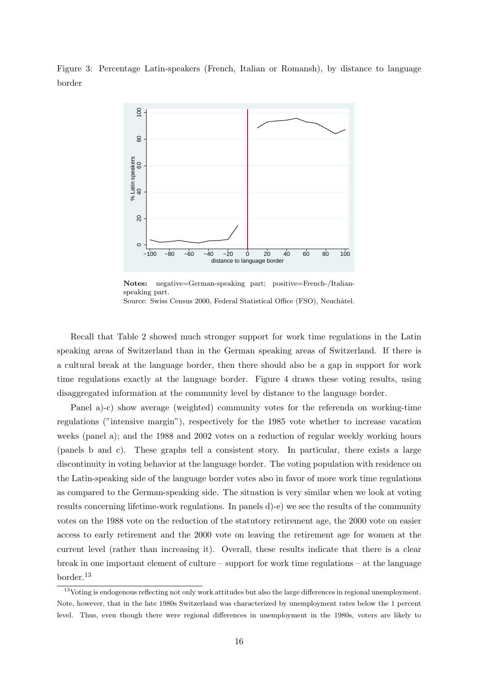Figure 3: Percentage Latin-speakers (French, Italian or Romansh), by distance to language border



Notes: negative=German-speaking part; positive=French-/Italianspeaking part. Source: Swiss Census 2000, Federal Statistical Office (FSO), Neuchâtel.

Recall that Table 2 showed much stronger support for work time regulations in the Latin speaking areas of Switzerland than in the German speaking areas of Switzerland. If there is a cultural break at the language border, then there should also be a gap in support for work time regulations exactly at the language border. Figure 4 draws these voting results, using disaggregated information at the community level by distance to the language border.

Panel a)-c) show average (weighted) community votes for the referenda on working-time regulations ("intensive margin"), respectively for the 1985 vote whether to increase vacation weeks (panel a); and the 1988 and 2002 votes on a reduction of regular weekly working hours (panels b and c). These graphs tell a consistent story. In particular, there exists a large discontinuity in voting behavior at the language border. The voting population with residence on the Latin-speaking side of the language border votes also in favor of more work time regulations as compared to the German-speaking side. The situation is very similar when we look at voting results concerning lifetime-work regulations. In panels d)-e) we see the results of the community votes on the 1988 vote on the reduction of the statutory retirement age, the 2000 vote on easier access to early retirement and the 2000 vote on leaving the retirement age for women at the current level (rather than increasing it). Overall, these results indicate that there is a clear break in one important element of culture – support for work time regulations – at the language border.<sup>13</sup>

 $13$ Voting is endogenous reflecting not only work attitudes but also the large differences in regional unemployment. Note, however, that in the late 1980s Switzerland was characterized by unemployment rates below the 1 percent level. Thus, even though there were regional differences in unemployment in the 1980s, voters are likely to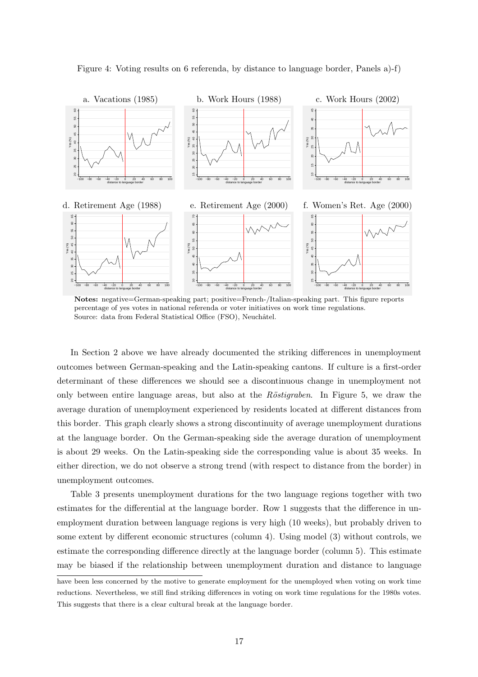

Figure 4: Voting results on 6 referenda, by distance to language border, Panels a)-f)

Notes: negative=German-speaking part; positive=French-/Italian-speaking part. This figure reports percentage of yes votes in national referenda or voter initiatives on work time regulations. Source: data from Federal Statistical Office (FSO), Neuchâtel.

In Section 2 above we have already documented the striking differences in unemployment outcomes between German-speaking and the Latin-speaking cantons. If culture is a first-order determinant of these differences we should see a discontinuous change in unemployment not only between entire language areas, but also at the Röstigraben. In Figure 5, we draw the average duration of unemployment experienced by residents located at different distances from this border. This graph clearly shows a strong discontinuity of average unemployment durations at the language border. On the German-speaking side the average duration of unemployment is about 29 weeks. On the Latin-speaking side the corresponding value is about 35 weeks. In either direction, we do not observe a strong trend (with respect to distance from the border) in unemployment outcomes.

Table 3 presents unemployment durations for the two language regions together with two estimates for the differential at the language border. Row 1 suggests that the difference in unemployment duration between language regions is very high (10 weeks), but probably driven to some extent by different economic structures (column 4). Using model (3) without controls, we estimate the corresponding difference directly at the language border (column 5). This estimate may be biased if the relationship between unemployment duration and distance to language

have been less concerned by the motive to generate employment for the unemployed when voting on work time reductions. Nevertheless, we still find striking differences in voting on work time regulations for the 1980s votes. This suggests that there is a clear cultural break at the language border.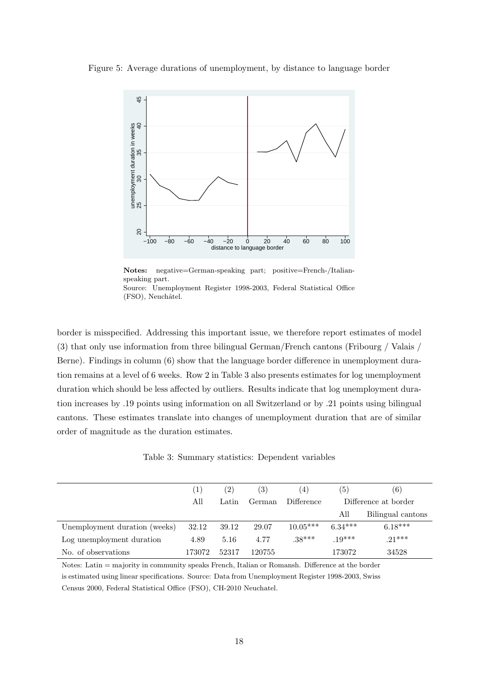Figure 5: Average durations of unemployment, by distance to language border



Notes: negative=German-speaking part; positive=French-/Italianspeaking part. Source: Unemployment Register 1998-2003, Federal Statistical Office (FSO), Neuchâtel.

border is misspecified. Addressing this important issue, we therefore report estimates of model (3) that only use information from three bilingual German/French cantons (Fribourg / Valais / Berne). Findings in column (6) show that the language border difference in unemployment duration remains at a level of 6 weeks. Row 2 in Table 3 also presents estimates for log unemployment duration which should be less affected by outliers. Results indicate that log unemployment duration increases by .19 points using information on all Switzerland or by .21 points using bilingual cantons. These estimates translate into changes of unemployment duration that are of similar order of magnitude as the duration estimates.

Table 3: Summary statistics: Dependent variables

|                               | $\left 1\right\rangle$ | $\left( 2\right)$ | (3)    | $\left( 4\right)$ | (5)       | (6)                  |
|-------------------------------|------------------------|-------------------|--------|-------------------|-----------|----------------------|
|                               | All                    | Latin             | German | Difference        |           | Difference at border |
|                               |                        |                   |        |                   | All       | Bilingual cantons    |
| Unemployment duration (weeks) | 32.12                  | 39.12             | 29.07  | $10.05***$        | $6.34***$ | $6.18***$            |
| Log unemployment duration     | 4.89                   | 5.16              | 4.77   | $.38***$          | $.19***$  | $.21***$             |
| No. of observations           | 173072                 | 52317             | 120755 |                   | 173072    | 34528                |

Notes: Latin = majority in community speaks French, Italian or Romansh. Difference at the border is estimated using linear specifications. Source: Data from Unemployment Register 1998-2003, Swiss Census 2000, Federal Statistical Office (FSO), CH-2010 Neuchatel.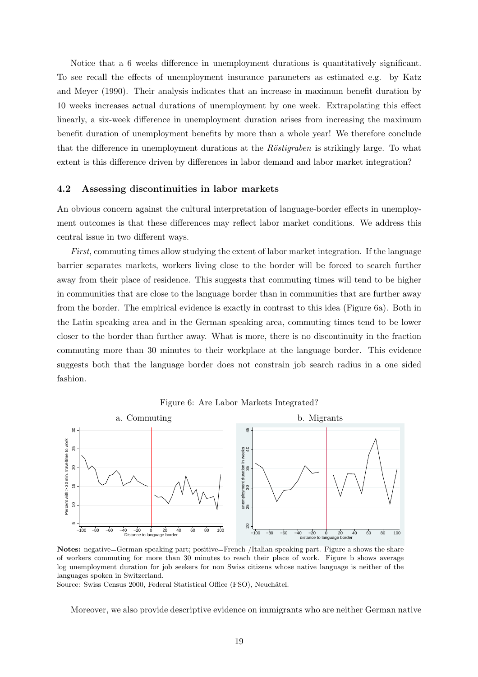Notice that a 6 weeks difference in unemployment durations is quantitatively significant. To see recall the effects of unemployment insurance parameters as estimated e.g. by Katz and Meyer (1990). Their analysis indicates that an increase in maximum benefit duration by 10 weeks increases actual durations of unemployment by one week. Extrapolating this effect linearly, a six-week difference in unemployment duration arises from increasing the maximum benefit duration of unemployment benefits by more than a whole year! We therefore conclude that the difference in unemployment durations at the  $R\ddot{o}stigraphen$  is strikingly large. To what extent is this difference driven by differences in labor demand and labor market integration?

#### 4.2 Assessing discontinuities in labor markets

An obvious concern against the cultural interpretation of language-border effects in unemployment outcomes is that these differences may reflect labor market conditions. We address this central issue in two different ways.

First, commuting times allow studying the extent of labor market integration. If the language barrier separates markets, workers living close to the border will be forced to search further away from their place of residence. This suggests that commuting times will tend to be higher in communities that are close to the language border than in communities that are further away from the border. The empirical evidence is exactly in contrast to this idea (Figure 6a). Both in the Latin speaking area and in the German speaking area, commuting times tend to be lower closer to the border than further away. What is more, there is no discontinuity in the fraction commuting more than 30 minutes to their workplace at the language border. This evidence suggests both that the language border does not constrain job search radius in a one sided fashion.



Figure 6: Are Labor Markets Integrated?

Notes: negative=German-speaking part; positive=French-/Italian-speaking part. Figure a shows the share of workers commuting for more than 30 minutes to reach their place of work. Figure b shows average log unemployment duration for job seekers for non Swiss citizens whose native language is neither of the languages spoken in Switzerland.

Source: Swiss Census 2000, Federal Statistical Office (FSO), Neuchâtel.

Moreover, we also provide descriptive evidence on immigrants who are neither German native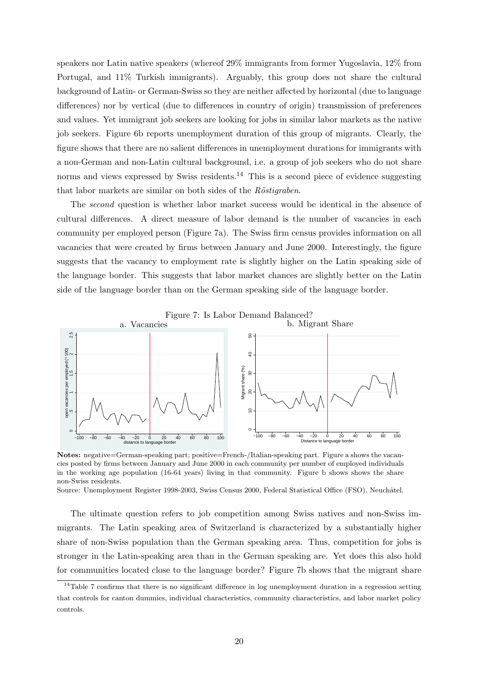speakers nor Latin native speakers (whereof 29% immigrants from former Yugoslavia, 12% from Portugal, and 11% Turkish immigrants). Arguably, this group does not share the cultural background of Latin- or German-Swiss so they are neither affected by horizontal (due to language differences) nor by vertical (due to differences in country of origin) transmission of preferences and values. Yet immigrant job seekers are looking for jobs in similar labor markets as the native job seekers. Figure 6b reports unemployment duration of this group of migrants. Clearly, the figure shows that there are no salient differences in unemployment durations for immigrants with a non-German and non-Latin cultural background, i.e. a group of job seekers who do not share norms and views expressed by Swiss residents.<sup>14</sup> This is a second piece of evidence suggesting that labor markets are similar on both sides of the  $R\ddot{o}stigraben$ .

The second question is whether labor market success would be identical in the absence of cultural differences. A direct measure of labor demand is the number of vacancies in each community per employed person (Figure 7a). The Swiss firm census provides information on all vacancies that were created by firms between January and June 2000. Interestingly, the figure suggests that the vacancy to employment rate is slightly higher on the Latin speaking side of the language border. This suggests that labor market chances are slightly better on the Latin side of the language border than on the German speaking side of the language border.



Notes: negative=German-speaking part; positive=French-/Italian-speaking part. Figure a shows the vacancies posted by firms between January and June 2000 in each community per number of employed individuals in the working age population (16-64 years) living in that community. Figure b shows shows the share non-Swiss residents.

Source: Unemployment Register 1998-2003, Swiss Census 2000, Federal Statistical Office (FSO), Neuchâtel.

The ultimate question refers to job competition among Swiss natives and non-Swiss immigrants. The Latin speaking area of Switzerland is characterized by a substantially higher share of non-Swiss population than the German speaking area. Thus, competition for jobs is stronger in the Latin-speaking area than in the German speaking are. Yet does this also hold for communities located close to the language border? Figure 7b shows that the migrant share

 $14$ Table 7 confirms that there is no significant difference in log unemployment duration in a regression setting that controls for canton dummies, individual characteristics, community characteristics, and labor market policy controls.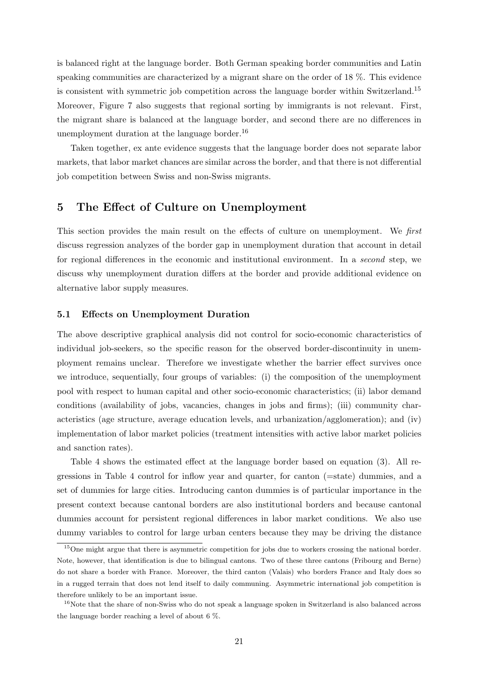is balanced right at the language border. Both German speaking border communities and Latin speaking communities are characterized by a migrant share on the order of 18 %. This evidence is consistent with symmetric job competition across the language border within Switzerland.<sup>15</sup> Moreover, Figure 7 also suggests that regional sorting by immigrants is not relevant. First, the migrant share is balanced at the language border, and second there are no differences in unemployment duration at the language border.<sup>16</sup>

Taken together, ex ante evidence suggests that the language border does not separate labor markets, that labor market chances are similar across the border, and that there is not differential job competition between Swiss and non-Swiss migrants.

## 5 The Effect of Culture on Unemployment

This section provides the main result on the effects of culture on unemployment. We first discuss regression analyzes of the border gap in unemployment duration that account in detail for regional differences in the economic and institutional environment. In a second step, we discuss why unemployment duration differs at the border and provide additional evidence on alternative labor supply measures.

#### 5.1 Effects on Unemployment Duration

The above descriptive graphical analysis did not control for socio-economic characteristics of individual job-seekers, so the specific reason for the observed border-discontinuity in unemployment remains unclear. Therefore we investigate whether the barrier effect survives once we introduce, sequentially, four groups of variables: (i) the composition of the unemployment pool with respect to human capital and other socio-economic characteristics; (ii) labor demand conditions (availability of jobs, vacancies, changes in jobs and firms); (iii) community characteristics (age structure, average education levels, and urbanization/agglomeration); and (iv) implementation of labor market policies (treatment intensities with active labor market policies and sanction rates).

Table 4 shows the estimated effect at the language border based on equation (3). All regressions in Table 4 control for inflow year and quarter, for canton (=state) dummies, and a set of dummies for large cities. Introducing canton dummies is of particular importance in the present context because cantonal borders are also institutional borders and because cantonal dummies account for persistent regional differences in labor market conditions. We also use dummy variables to control for large urban centers because they may be driving the distance

<sup>&</sup>lt;sup>15</sup>One might argue that there is asymmetric competition for jobs due to workers crossing the national border. Note, however, that identification is due to bilingual cantons. Two of these three cantons (Fribourg and Berne) do not share a border with France. Moreover, the third canton (Valais) who borders France and Italy does so in a rugged terrain that does not lend itself to daily communing. Asymmetric international job competition is therefore unlikely to be an important issue.

<sup>&</sup>lt;sup>16</sup>Note that the share of non-Swiss who do not speak a language spoken in Switzerland is also balanced across the language border reaching a level of about 6 %.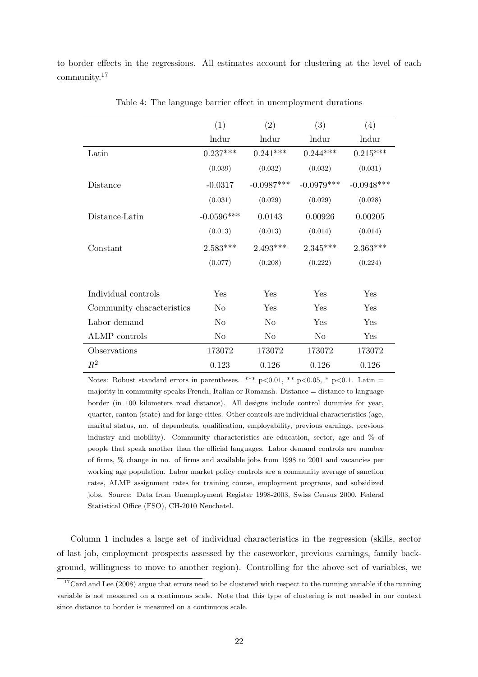to border effects in the regressions. All estimates account for clustering at the level of each community.<sup>17</sup>

|                           | (1)            | (2)            | (3)            | (4)          |
|---------------------------|----------------|----------------|----------------|--------------|
|                           | lndur          | lndur          | <b>lndur</b>   | lndur        |
| Latin                     | $0.237***$     | $0.241***$     | $0.244***$     | $0.215***$   |
|                           | (0.039)        | (0.032)        | (0.032)        | (0.031)      |
| Distance                  | $-0.0317$      | $-0.0987***$   | $-0.0979***$   | $-0.0948***$ |
|                           | (0.031)        | (0.029)        | (0.029)        | (0.028)      |
| Distance Latin            | $-0.0596***$   | 0.0143         | 0.00926        | 0.00205      |
|                           | (0.013)        | (0.013)        | (0.014)        | (0.014)      |
| Constant                  | $2.583***$     | $2.493***$     | $2.345***$     | $2.363***$   |
|                           | (0.077)        | (0.208)        | (0.222)        | (0.224)      |
|                           |                |                |                |              |
| Individual controls       | Yes            | Yes            | Yes            | Yes          |
| Community characteristics | N <sub>0</sub> | Yes            | Yes            | Yes          |
| Labor demand              | N <sub>0</sub> | N <sub>o</sub> | Yes            | Yes          |
| ALMP controls             | $\rm No$       | N <sub>o</sub> | N <sub>o</sub> | Yes          |
| Observations              | 173072         | 173072         | 173072         | 173072       |
| $R^2$                     | 0.123          | 0.126          | 0.126          | 0.126        |

Table 4: The language barrier effect in unemployment durations

Notes: Robust standard errors in parentheses. \*\*\* p<0.01, \*\* p<0.05, \* p<0.1. Latin = majority in community speaks French, Italian or Romansh. Distance = distance to language border (in 100 kilometers road distance). All designs include control dummies for year, quarter, canton (state) and for large cities. Other controls are individual characteristics (age, marital status, no. of dependents, qualification, employability, previous earnings, previous industry and mobility). Community characteristics are education, sector, age and % of people that speak another than the official languages. Labor demand controls are number of firms, % change in no. of firms and available jobs from 1998 to 2001 and vacancies per working age population. Labor market policy controls are a community average of sanction rates, ALMP assignment rates for training course, employment programs, and subsidized jobs. Source: Data from Unemployment Register 1998-2003, Swiss Census 2000, Federal Statistical Office (FSO), CH-2010 Neuchatel.

Column 1 includes a large set of individual characteristics in the regression (skills, sector of last job, employment prospects assessed by the caseworker, previous earnings, family background, willingness to move to another region). Controlling for the above set of variables, we

 $17$ Card and Lee (2008) argue that errors need to be clustered with respect to the running variable if the running variable is not measured on a continuous scale. Note that this type of clustering is not needed in our context since distance to border is measured on a continuous scale.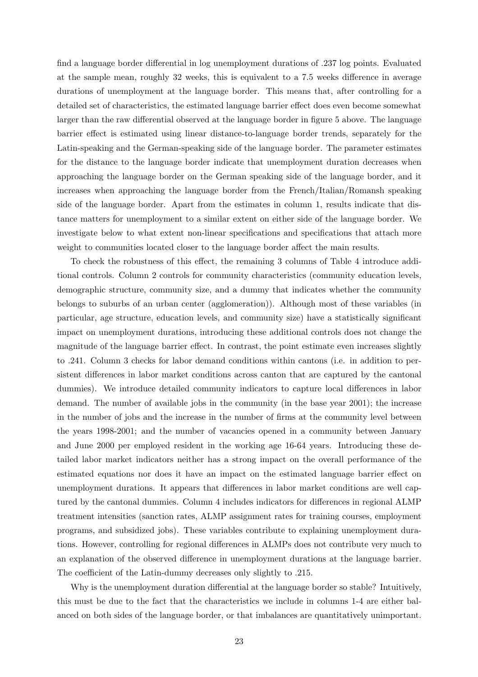find a language border differential in log unemployment durations of .237 log points. Evaluated at the sample mean, roughly 32 weeks, this is equivalent to a 7.5 weeks difference in average durations of unemployment at the language border. This means that, after controlling for a detailed set of characteristics, the estimated language barrier effect does even become somewhat larger than the raw differential observed at the language border in figure 5 above. The language barrier effect is estimated using linear distance-to-language border trends, separately for the Latin-speaking and the German-speaking side of the language border. The parameter estimates for the distance to the language border indicate that unemployment duration decreases when approaching the language border on the German speaking side of the language border, and it increases when approaching the language border from the French/Italian/Romansh speaking side of the language border. Apart from the estimates in column 1, results indicate that distance matters for unemployment to a similar extent on either side of the language border. We investigate below to what extent non-linear specifications and specifications that attach more weight to communities located closer to the language border affect the main results.

To check the robustness of this effect, the remaining 3 columns of Table 4 introduce additional controls. Column 2 controls for community characteristics (community education levels, demographic structure, community size, and a dummy that indicates whether the community belongs to suburbs of an urban center (agglomeration)). Although most of these variables (in particular, age structure, education levels, and community size) have a statistically significant impact on unemployment durations, introducing these additional controls does not change the magnitude of the language barrier effect. In contrast, the point estimate even increases slightly to .241. Column 3 checks for labor demand conditions within cantons (i.e. in addition to persistent differences in labor market conditions across canton that are captured by the cantonal dummies). We introduce detailed community indicators to capture local differences in labor demand. The number of available jobs in the community (in the base year 2001); the increase in the number of jobs and the increase in the number of firms at the community level between the years 1998-2001; and the number of vacancies opened in a community between January and June 2000 per employed resident in the working age 16-64 years. Introducing these detailed labor market indicators neither has a strong impact on the overall performance of the estimated equations nor does it have an impact on the estimated language barrier effect on unemployment durations. It appears that differences in labor market conditions are well captured by the cantonal dummies. Column 4 includes indicators for differences in regional ALMP treatment intensities (sanction rates, ALMP assignment rates for training courses, employment programs, and subsidized jobs). These variables contribute to explaining unemployment durations. However, controlling for regional differences in ALMPs does not contribute very much to an explanation of the observed difference in unemployment durations at the language barrier. The coefficient of the Latin-dummy decreases only slightly to .215.

Why is the unemployment duration differential at the language border so stable? Intuitively, this must be due to the fact that the characteristics we include in columns 1-4 are either balanced on both sides of the language border, or that imbalances are quantitatively unimportant.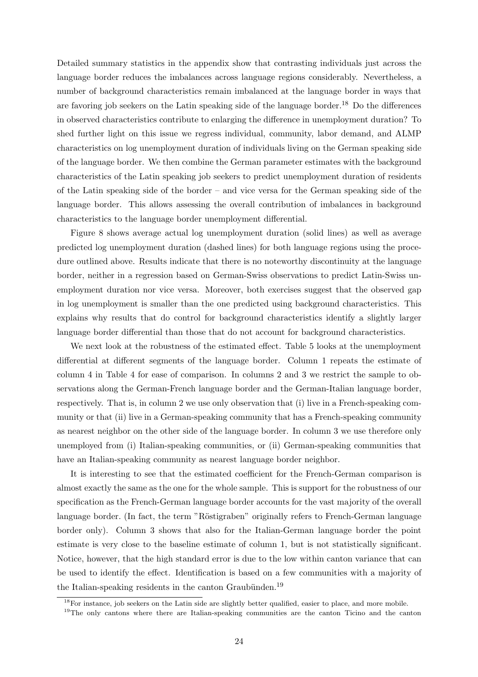Detailed summary statistics in the appendix show that contrasting individuals just across the language border reduces the imbalances across language regions considerably. Nevertheless, a number of background characteristics remain imbalanced at the language border in ways that are favoring job seekers on the Latin speaking side of the language border.<sup>18</sup> Do the differences in observed characteristics contribute to enlarging the difference in unemployment duration? To shed further light on this issue we regress individual, community, labor demand, and ALMP characteristics on log unemployment duration of individuals living on the German speaking side of the language border. We then combine the German parameter estimates with the background characteristics of the Latin speaking job seekers to predict unemployment duration of residents of the Latin speaking side of the border – and vice versa for the German speaking side of the language border. This allows assessing the overall contribution of imbalances in background characteristics to the language border unemployment differential.

Figure 8 shows average actual log unemployment duration (solid lines) as well as average predicted log unemployment duration (dashed lines) for both language regions using the procedure outlined above. Results indicate that there is no noteworthy discontinuity at the language border, neither in a regression based on German-Swiss observations to predict Latin-Swiss unemployment duration nor vice versa. Moreover, both exercises suggest that the observed gap in log unemployment is smaller than the one predicted using background characteristics. This explains why results that do control for background characteristics identify a slightly larger language border differential than those that do not account for background characteristics.

We next look at the robustness of the estimated effect. Table 5 looks at the unemployment differential at different segments of the language border. Column 1 repeats the estimate of column 4 in Table 4 for ease of comparison. In columns 2 and 3 we restrict the sample to observations along the German-French language border and the German-Italian language border, respectively. That is, in column 2 we use only observation that (i) live in a French-speaking community or that (ii) live in a German-speaking community that has a French-speaking community as nearest neighbor on the other side of the language border. In column 3 we use therefore only unemployed from (i) Italian-speaking communities, or (ii) German-speaking communities that have an Italian-speaking community as nearest language border neighbor.

It is interesting to see that the estimated coefficient for the French-German comparison is almost exactly the same as the one for the whole sample. This is support for the robustness of our specification as the French-German language border accounts for the vast majority of the overall language border. (In fact, the term "Röstigraben" originally refers to French-German language border only). Column 3 shows that also for the Italian-German language border the point estimate is very close to the baseline estimate of column 1, but is not statistically significant. Notice, however, that the high standard error is due to the low within canton variance that can be used to identify the effect. Identification is based on a few communities with a majority of the Italian-speaking residents in the canton Graubünden.<sup>19</sup>

<sup>&</sup>lt;sup>18</sup>For instance, job seekers on the Latin side are slightly better qualified, easier to place, and more mobile.

<sup>&</sup>lt;sup>19</sup>The only cantons where there are Italian-speaking communities are the canton Ticino and the canton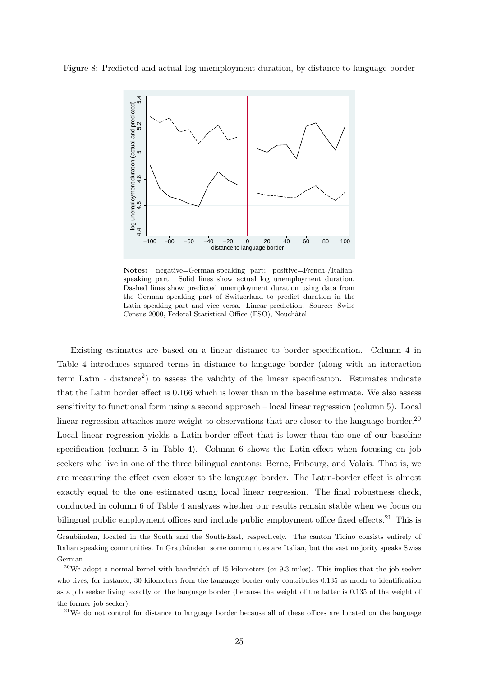Figure 8: Predicted and actual log unemployment duration, by distance to language border



Notes: negative=German-speaking part; positive=French-/Italianspeaking part. Solid lines show actual log unemployment duration. Dashed lines show predicted unemployment duration using data from the German speaking part of Switzerland to predict duration in the Latin speaking part and vice versa. Linear prediction. Source: Swiss Census 2000, Federal Statistical Office (FSO), Neuchâtel.

Existing estimates are based on a linear distance to border specification. Column 4 in Table 4 introduces squared terms in distance to language border (along with an interaction term Latin  $\cdot$  distance<sup>2</sup>) to assess the validity of the linear specification. Estimates indicate that the Latin border effect is 0.166 which is lower than in the baseline estimate. We also assess sensitivity to functional form using a second approach – local linear regression (column 5). Local linear regression attaches more weight to observations that are closer to the language border.<sup>20</sup> Local linear regression yields a Latin-border effect that is lower than the one of our baseline specification (column 5 in Table 4). Column 6 shows the Latin-effect when focusing on job seekers who live in one of the three bilingual cantons: Berne, Fribourg, and Valais. That is, we are measuring the effect even closer to the language border. The Latin-border effect is almost exactly equal to the one estimated using local linear regression. The final robustness check, conducted in column 6 of Table 4 analyzes whether our results remain stable when we focus on bilingual public employment offices and include public employment office fixed effects.<sup>21</sup> This is

<sup>21</sup>We do not control for distance to language border because all of these offices are located on the language

Graubünden, located in the South and the South-East, respectively. The canton Ticino consists entirely of Italian speaking communities. In Graubünden, some communities are Italian, but the vast majority speaks Swiss German.

 $^{20}$ We adopt a normal kernel with bandwidth of 15 kilometers (or 9.3 miles). This implies that the job seeker who lives, for instance, 30 kilometers from the language border only contributes 0.135 as much to identification as a job seeker living exactly on the language border (because the weight of the latter is 0.135 of the weight of the former job seeker).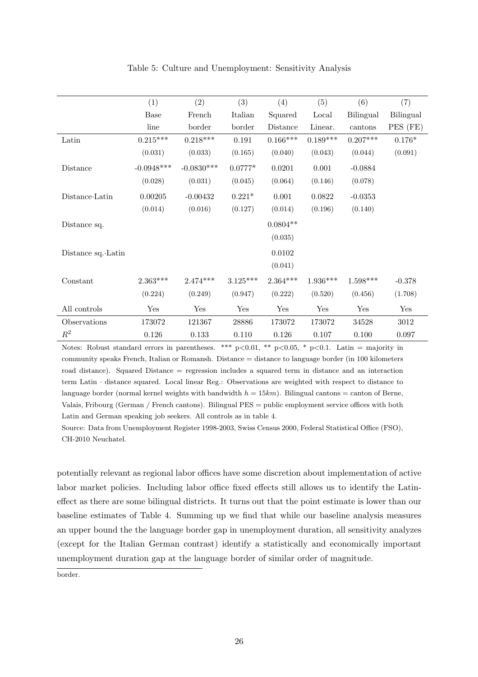|                    | (1)          | (2)          | (3)        | (4)        | (5)        | (6)        | (7)       |
|--------------------|--------------|--------------|------------|------------|------------|------------|-----------|
|                    | <b>Base</b>  | French       | Italian    | Squared    | Local      | Bilingual  | Bilingual |
|                    | line         | border       | border     | Distance   | Linear.    | cantons    | PES (FE)  |
| Latin              | $0.215***$   | $0.218***$   | 0.191      | $0.166***$ | $0.189***$ | $0.207***$ | $0.176*$  |
|                    | (0.031)      | (0.033)      | (0.165)    | (0.040)    | (0.043)    | (0.044)    | (0.091)   |
| Distance           | $-0.0948***$ | $-0.0830***$ | $0.0777*$  | 0.0201     | 0.001      | $-0.0884$  |           |
|                    | (0.028)      | (0.031)      | (0.045)    | (0.064)    | (0.146)    | (0.078)    |           |
| Distance Latin     | 0.00205      | $-0.00432$   | $0.221*$   | 0.001      | 0.0822     | $-0.0353$  |           |
|                    | (0.014)      | (0.016)      | (0.127)    | (0.014)    | (0.196)    | (0.140)    |           |
| Distance sq.       |              |              |            | $0.0804**$ |            |            |           |
|                    |              |              |            | (0.035)    |            |            |           |
| Distance sq. Latin |              |              |            | 0.0102     |            |            |           |
|                    |              |              |            | (0.041)    |            |            |           |
| Constant           | $2.363***$   | $2.474***$   | $3.125***$ | $2.364***$ | $1.936***$ | $1.598***$ | $-0.378$  |
|                    | (0.224)      | (0.249)      | (0.947)    | (0.222)    | (0.520)    | (0.456)    | (1.708)   |
| All controls       | Yes          | Yes          | Yes        | Yes        | Yes        | Yes        | Yes       |
| Observations       | 173072       | 121367       | 28886      | 173072     | 173072     | 34528      | 3012      |
| $R^2$              | 0.126        | 0.133        | 0.110      | 0.126      | 0.107      | 0.100      | 0.097     |

Table 5: Culture and Unemployment: Sensitivity Analysis

Notes: Robust standard errors in parentheses. \*\*\* p<0.01, \*\* p<0.05, \* p<0.1. Latin = majority in community speaks French, Italian or Romansh. Distance = distance to language border (in 100 kilometers road distance). Squared Distance = regression includes a squared term in distance and an interaction term Latin · distance squared. Local linear Reg.: Observations are weighted with respect to distance to language border (normal kernel weights with bandwidth  $h = 15km$ ). Bilingual cantons = canton of Berne, Valais, Fribourg (German / French cantons). Bilingual PES = public employment service offices with both Latin and German speaking job seekers. All controls as in table 4.

Source: Data from Unemployment Register 1998-2003, Swiss Census 2000, Federal Statistical Office (FSO), CH-2010 Neuchatel.

potentially relevant as regional labor offices have some discretion about implementation of active labor market policies. Including labor office fixed effects still allows us to identify the Latineffect as there are some bilingual districts. It turns out that the point estimate is lower than our baseline estimates of Table 4. Summing up we find that while our baseline analysis measures an upper bound the the language border gap in unemployment duration, all sensitivity analyzes (except for the Italian German contrast) identify a statistically and economically important unemployment duration gap at the language border of similar order of magnitude.

border.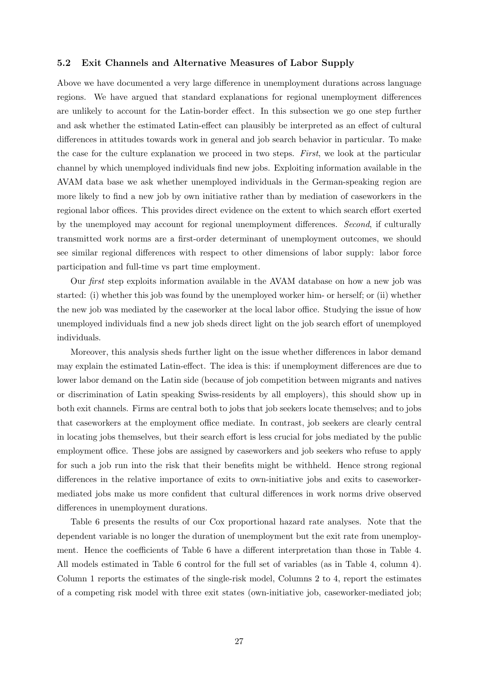### 5.2 Exit Channels and Alternative Measures of Labor Supply

Above we have documented a very large difference in unemployment durations across language regions. We have argued that standard explanations for regional unemployment differences are unlikely to account for the Latin-border effect. In this subsection we go one step further and ask whether the estimated Latin-effect can plausibly be interpreted as an effect of cultural differences in attitudes towards work in general and job search behavior in particular. To make the case for the culture explanation we proceed in two steps. First, we look at the particular channel by which unemployed individuals find new jobs. Exploiting information available in the AVAM data base we ask whether unemployed individuals in the German-speaking region are more likely to find a new job by own initiative rather than by mediation of caseworkers in the regional labor offices. This provides direct evidence on the extent to which search effort exerted by the unemployed may account for regional unemployment differences. Second, if culturally transmitted work norms are a first-order determinant of unemployment outcomes, we should see similar regional differences with respect to other dimensions of labor supply: labor force participation and full-time vs part time employment.

Our first step exploits information available in the AVAM database on how a new job was started: (i) whether this job was found by the unemployed worker him- or herself; or (ii) whether the new job was mediated by the caseworker at the local labor office. Studying the issue of how unemployed individuals find a new job sheds direct light on the job search effort of unemployed individuals.

Moreover, this analysis sheds further light on the issue whether differences in labor demand may explain the estimated Latin-effect. The idea is this: if unemployment differences are due to lower labor demand on the Latin side (because of job competition between migrants and natives or discrimination of Latin speaking Swiss-residents by all employers), this should show up in both exit channels. Firms are central both to jobs that job seekers locate themselves; and to jobs that caseworkers at the employment office mediate. In contrast, job seekers are clearly central in locating jobs themselves, but their search effort is less crucial for jobs mediated by the public employment office. These jobs are assigned by caseworkers and job seekers who refuse to apply for such a job run into the risk that their benefits might be withheld. Hence strong regional differences in the relative importance of exits to own-initiative jobs and exits to caseworkermediated jobs make us more confident that cultural differences in work norms drive observed differences in unemployment durations.

Table 6 presents the results of our Cox proportional hazard rate analyses. Note that the dependent variable is no longer the duration of unemployment but the exit rate from unemployment. Hence the coefficients of Table 6 have a different interpretation than those in Table 4. All models estimated in Table 6 control for the full set of variables (as in Table 4, column 4). Column 1 reports the estimates of the single-risk model, Columns 2 to 4, report the estimates of a competing risk model with three exit states (own-initiative job, caseworker-mediated job;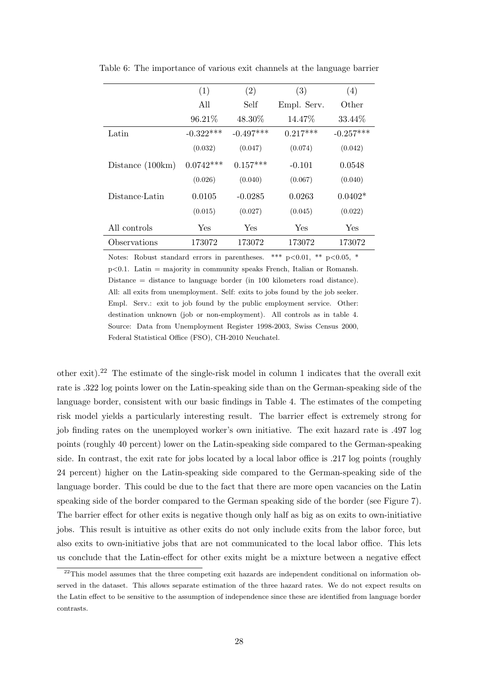|                    | (1)         | (2)         | (3)         | (4)         |
|--------------------|-------------|-------------|-------------|-------------|
|                    | All         | Self        | Empl. Serv. | Other       |
|                    | 96.21%      | 48.30\%     | 14.47\%     | 33.44\%     |
| Latin              | $-0.322***$ | $-0.497***$ | $0.217***$  | $-0.257***$ |
|                    | (0.032)     | (0.047)     | (0.074)     | (0.042)     |
| Distance $(100km)$ | $0.0742***$ | $0.157***$  | $-0.101$    | 0.0548      |
|                    | (0.026)     | (0.040)     | (0.067)     | (0.040)     |
| Distance-Latin     | 0.0105      | $-0.0285$   | 0.0263      | $0.0402*$   |
|                    | (0.015)     | (0.027)     | (0.045)     | (0.022)     |
| All controls       | <b>Yes</b>  | Yes         | Yes         | Yes         |
| Observations       | 173072      | 173072      | 173072      | 173072      |

Table 6: The importance of various exit channels at the language barrier

Notes: Robust standard errors in parentheses. \*\*\*  $p<0.01$ , \*\*  $p<0.05$ , \*  $p<0.1$ . Latin = majority in community speaks French, Italian or Romansh. Distance = distance to language border (in 100 kilometers road distance). All: all exits from unemployment. Self: exits to jobs found by the job seeker. Empl. Serv.: exit to job found by the public employment service. Other: destination unknown (job or non-employment). All controls as in table 4. Source: Data from Unemployment Register 1998-2003, Swiss Census 2000, Federal Statistical Office (FSO), CH-2010 Neuchatel.

other exit).<sup>22</sup> The estimate of the single-risk model in column 1 indicates that the overall exit rate is .322 log points lower on the Latin-speaking side than on the German-speaking side of the language border, consistent with our basic findings in Table 4. The estimates of the competing risk model yields a particularly interesting result. The barrier effect is extremely strong for job finding rates on the unemployed worker's own initiative. The exit hazard rate is .497 log points (roughly 40 percent) lower on the Latin-speaking side compared to the German-speaking side. In contrast, the exit rate for jobs located by a local labor office is .217 log points (roughly 24 percent) higher on the Latin-speaking side compared to the German-speaking side of the language border. This could be due to the fact that there are more open vacancies on the Latin speaking side of the border compared to the German speaking side of the border (see Figure 7). The barrier effect for other exits is negative though only half as big as on exits to own-initiative jobs. This result is intuitive as other exits do not only include exits from the labor force, but also exits to own-initiative jobs that are not communicated to the local labor office. This lets us conclude that the Latin-effect for other exits might be a mixture between a negative effect

<sup>&</sup>lt;sup>22</sup>This model assumes that the three competing exit hazards are independent conditional on information observed in the dataset. This allows separate estimation of the three hazard rates. We do not expect results on the Latin effect to be sensitive to the assumption of independence since these are identified from language border contrasts.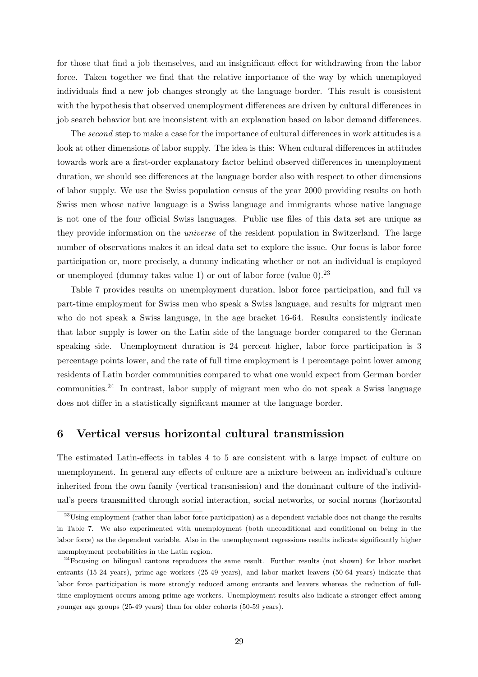for those that find a job themselves, and an insignificant effect for withdrawing from the labor force. Taken together we find that the relative importance of the way by which unemployed individuals find a new job changes strongly at the language border. This result is consistent with the hypothesis that observed unemployment differences are driven by cultural differences in job search behavior but are inconsistent with an explanation based on labor demand differences.

The second step to make a case for the importance of cultural differences in work attitudes is a look at other dimensions of labor supply. The idea is this: When cultural differences in attitudes towards work are a first-order explanatory factor behind observed differences in unemployment duration, we should see differences at the language border also with respect to other dimensions of labor supply. We use the Swiss population census of the year 2000 providing results on both Swiss men whose native language is a Swiss language and immigrants whose native language is not one of the four official Swiss languages. Public use files of this data set are unique as they provide information on the universe of the resident population in Switzerland. The large number of observations makes it an ideal data set to explore the issue. Our focus is labor force participation or, more precisely, a dummy indicating whether or not an individual is employed or unemployed (dummy takes value 1) or out of labor force (value  $0$ ).<sup>23</sup>

Table 7 provides results on unemployment duration, labor force participation, and full vs part-time employment for Swiss men who speak a Swiss language, and results for migrant men who do not speak a Swiss language, in the age bracket 16-64. Results consistently indicate that labor supply is lower on the Latin side of the language border compared to the German speaking side. Unemployment duration is 24 percent higher, labor force participation is 3 percentage points lower, and the rate of full time employment is 1 percentage point lower among residents of Latin border communities compared to what one would expect from German border communities.<sup>24</sup> In contrast, labor supply of migrant men who do not speak a Swiss language does not differ in a statistically significant manner at the language border.

## 6 Vertical versus horizontal cultural transmission

The estimated Latin-effects in tables 4 to 5 are consistent with a large impact of culture on unemployment. In general any effects of culture are a mixture between an individual's culture inherited from the own family (vertical transmission) and the dominant culture of the individual's peers transmitted through social interaction, social networks, or social norms (horizontal

<sup>&</sup>lt;sup>23</sup>Using employment (rather than labor force participation) as a dependent variable does not change the results in Table 7. We also experimented with unemployment (both unconditional and conditional on being in the labor force) as the dependent variable. Also in the unemployment regressions results indicate significantly higher unemployment probabilities in the Latin region.

<sup>&</sup>lt;sup>24</sup>Focusing on bilingual cantons reproduces the same result. Further results (not shown) for labor market entrants (15-24 years), prime-age workers (25-49 years), and labor market leavers (50-64 years) indicate that labor force participation is more strongly reduced among entrants and leavers whereas the reduction of fulltime employment occurs among prime-age workers. Unemployment results also indicate a stronger effect among younger age groups (25-49 years) than for older cohorts (50-59 years).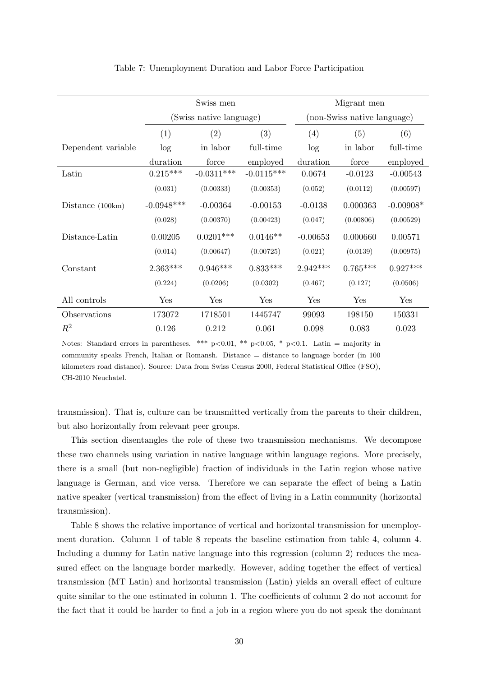|                    |              | Swiss men               |              | Migrant men |                             |             |  |  |
|--------------------|--------------|-------------------------|--------------|-------------|-----------------------------|-------------|--|--|
|                    |              | (Swiss native language) |              |             | (non-Swiss native language) |             |  |  |
|                    | (1)          | (2)                     | (3)          | (4)         | (5)                         | (6)         |  |  |
| Dependent variable | log          | in labor                | full-time    | log         | in labor                    | full-time   |  |  |
|                    | duration     | force                   | employed     | duration    | force                       | employed    |  |  |
| Latin              | $0.215***$   | $-0.0311***$            | $-0.0115***$ | 0.0674      | $-0.0123$                   | $-0.00543$  |  |  |
|                    | (0.031)      | (0.00333)               | (0.00353)    | (0.052)     | (0.0112)                    | (0.00597)   |  |  |
| Distance $(100km)$ | $-0.0948***$ | $-0.00364$              | $-0.00153$   | $-0.0138$   | 0.000363                    | $-0.00908*$ |  |  |
|                    | (0.028)      | (0.00370)               | (0.00423)    | (0.047)     | (0.00806)                   | (0.00529)   |  |  |
| Distance Latin     | 0.00205      | $0.0201***$             | $0.0146**$   | $-0.00653$  | 0.000660                    | 0.00571     |  |  |
|                    | (0.014)      | (0.00647)               | (0.00725)    | (0.021)     | (0.0139)                    | (0.00975)   |  |  |
| Constant           | $2.363***$   | $0.946***$              | $0.833***$   | $2.942***$  | $0.765***$                  | $0.927***$  |  |  |
|                    | (0.224)      | (0.0206)                | (0.0302)     | (0.467)     | (0.127)                     | (0.0506)    |  |  |
| All controls       | Yes          | Yes                     | Yes          | Yes         | Yes                         | Yes         |  |  |
| Observations       | 173072       | 1718501                 | 1445747      | 99093       | 198150                      | 150331      |  |  |
| $\,R^2$            | 0.126        | 0.212                   | 0.061        | 0.098       | 0.083                       | 0.023       |  |  |

#### Table 7: Unemployment Duration and Labor Force Participation

Notes: Standard errors in parentheses. \*\*\*  $p<0.01$ , \*\*  $p<0.05$ , \*  $p<0.1$ . Latin = majority in community speaks French, Italian or Romansh. Distance = distance to language border (in 100 kilometers road distance). Source: Data from Swiss Census 2000, Federal Statistical Office (FSO), CH-2010 Neuchatel.

transmission). That is, culture can be transmitted vertically from the parents to their children, but also horizontally from relevant peer groups.

This section disentangles the role of these two transmission mechanisms. We decompose these two channels using variation in native language within language regions. More precisely, there is a small (but non-negligible) fraction of individuals in the Latin region whose native language is German, and vice versa. Therefore we can separate the effect of being a Latin native speaker (vertical transmission) from the effect of living in a Latin community (horizontal transmission).

Table 8 shows the relative importance of vertical and horizontal transmission for unemployment duration. Column 1 of table 8 repeats the baseline estimation from table 4, column 4. Including a dummy for Latin native language into this regression (column 2) reduces the measured effect on the language border markedly. However, adding together the effect of vertical transmission (MT Latin) and horizontal transmission (Latin) yields an overall effect of culture quite similar to the one estimated in column 1. The coefficients of column 2 do not account for the fact that it could be harder to find a job in a region where you do not speak the dominant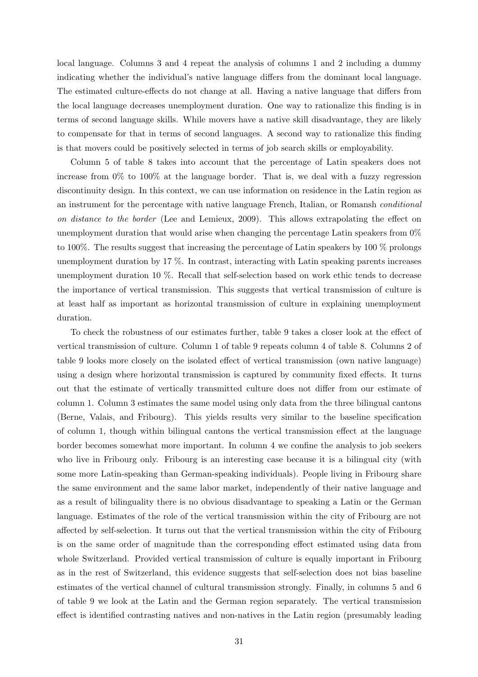local language. Columns 3 and 4 repeat the analysis of columns 1 and 2 including a dummy indicating whether the individual's native language differs from the dominant local language. The estimated culture-effects do not change at all. Having a native language that differs from the local language decreases unemployment duration. One way to rationalize this finding is in terms of second language skills. While movers have a native skill disadvantage, they are likely to compensate for that in terms of second languages. A second way to rationalize this finding is that movers could be positively selected in terms of job search skills or employability.

Column 5 of table 8 takes into account that the percentage of Latin speakers does not increase from 0% to 100% at the language border. That is, we deal with a fuzzy regression discontinuity design. In this context, we can use information on residence in the Latin region as an instrument for the percentage with native language French, Italian, or Romansh conditional on distance to the border (Lee and Lemieux, 2009). This allows extrapolating the effect on unemployment duration that would arise when changing the percentage Latin speakers from  $0\%$ to 100%. The results suggest that increasing the percentage of Latin speakers by 100 % prolongs unemployment duration by 17 %. In contrast, interacting with Latin speaking parents increases unemployment duration 10 %. Recall that self-selection based on work ethic tends to decrease the importance of vertical transmission. This suggests that vertical transmission of culture is at least half as important as horizontal transmission of culture in explaining unemployment duration.

To check the robustness of our estimates further, table 9 takes a closer look at the effect of vertical transmission of culture. Column 1 of table 9 repeats column 4 of table 8. Columns 2 of table 9 looks more closely on the isolated effect of vertical transmission (own native language) using a design where horizontal transmission is captured by community fixed effects. It turns out that the estimate of vertically transmitted culture does not differ from our estimate of column 1. Column 3 estimates the same model using only data from the three bilingual cantons (Berne, Valais, and Fribourg). This yields results very similar to the baseline specification of column 1, though within bilingual cantons the vertical transmission effect at the language border becomes somewhat more important. In column 4 we confine the analysis to job seekers who live in Fribourg only. Fribourg is an interesting case because it is a bilingual city (with some more Latin-speaking than German-speaking individuals). People living in Fribourg share the same environment and the same labor market, independently of their native language and as a result of bilinguality there is no obvious disadvantage to speaking a Latin or the German language. Estimates of the role of the vertical transmission within the city of Fribourg are not affected by self-selection. It turns out that the vertical transmission within the city of Fribourg is on the same order of magnitude than the corresponding effect estimated using data from whole Switzerland. Provided vertical transmission of culture is equally important in Fribourg as in the rest of Switzerland, this evidence suggests that self-selection does not bias baseline estimates of the vertical channel of cultural transmission strongly. Finally, in columns 5 and 6 of table 9 we look at the Latin and the German region separately. The vertical transmission effect is identified contrasting natives and non-natives in the Latin region (presumably leading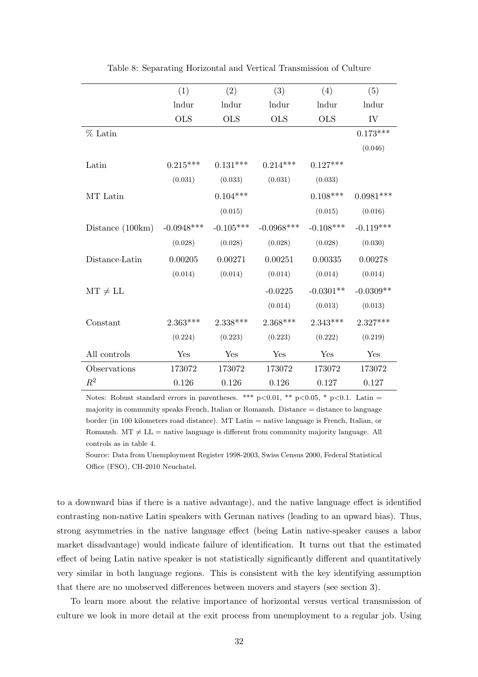|                    | (1)          | (2)         | (3)           | (4)         | (5)         |  |
|--------------------|--------------|-------------|---------------|-------------|-------------|--|
|                    | lndur        | lndur       | lndur         | lndur       | lndur       |  |
|                    | <b>OLS</b>   | <b>OLS</b>  | <b>OLS</b>    | <b>OLS</b>  | IV          |  |
| $%$ Latin          |              |             |               |             | $0.173***$  |  |
|                    |              |             |               |             | (0.046)     |  |
| Latin              | $0.215***$   | $0.131***$  | $0.214***$    | $0.127***$  |             |  |
|                    | (0.031)      | (0.033)     | (0.031)       | (0.033)     |             |  |
| MT Latin           |              | $0.104***$  |               | $0.108***$  | $0.0981***$ |  |
|                    |              | (0.015)     |               | (0.015)     | (0.016)     |  |
| Distance $(100km)$ | $-0.0948***$ | $-0.105***$ | $-0.0968$ *** | $-0.108***$ | $-0.119***$ |  |
|                    | (0.028)      | (0.028)     | (0.028)       | (0.028)     | (0.030)     |  |
| Distance-Latin     | 0.00205      | 0.00271     | 0.00251       | 0.00335     | 0.00278     |  |
|                    | (0.014)      | (0.014)     | (0.014)       | (0.014)     | (0.014)     |  |
| $MT \neq LL$       |              |             | $-0.0225$     | $-0.0301**$ | $-0.0309**$ |  |
|                    |              |             | (0.014)       | (0.013)     | (0.013)     |  |
| Constant           | $2.363***$   | $2.338***$  | $2.368***$    | $2.343***$  | $2.327***$  |  |
|                    | (0.224)      | (0.223)     | (0.223)       | (0.222)     | (0.219)     |  |
| All controls       | Yes          | Yes         | Yes           | Yes         | Yes         |  |
| Observations       | 173072       | 173072      | 173072        | 173072      | 173072      |  |
| $\mathbb{R}^2$     | 0.126        | 0.126       | 0.126         | 0.127       | 0.127       |  |

Table 8: Separating Horizontal and Vertical Transmission of Culture

Notes: Robust standard errors in parentheses. \*\*\* p<0.01, \*\* p<0.05, \* p<0.1. Latin = majority in community speaks French, Italian or Romansh. Distance = distance to language border (in 100 kilometers road distance). MT Latin = native language is French, Italian, or Romansh.  $MT \neq LL$  = native language is different from community majority language. All controls as in table 4.

Source: Data from Unemployment Register 1998-2003, Swiss Census 2000, Federal Statistical Office (FSO), CH-2010 Neuchatel.

to a downward bias if there is a native advantage), and the native language effect is identified contrasting non-native Latin speakers with German natives (leading to an upward bias). Thus, strong asymmetries in the native language effect (being Latin native-speaker causes a labor market disadvantage) would indicate failure of identification. It turns out that the estimated effect of being Latin native speaker is not statistically significantly different and quantitatively very similar in both language regions. This is consistent with the key identifying assumption that there are no unobserved differences between movers and stayers (see section 3).

To learn more about the relative importance of horizontal versus vertical transmission of culture we look in more detail at the exit process from unemployment to a regular job. Using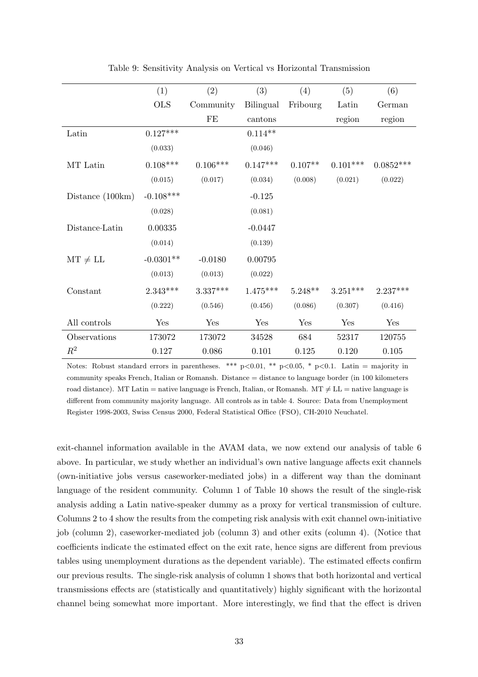|                                                                                               | (1)         | (2)        | (3)        | (4)       | (5)        | (6)         |
|-----------------------------------------------------------------------------------------------|-------------|------------|------------|-----------|------------|-------------|
|                                                                                               | <b>OLS</b>  | Community  | Bilingual  | Fribourg  | Latin      | German      |
|                                                                                               |             | FE         | cantons    |           | region     | region      |
| Latin                                                                                         | $0.127***$  |            | $0.114**$  |           |            |             |
|                                                                                               | (0.033)     |            | (0.046)    |           |            |             |
| MT Latin                                                                                      | $0.108***$  | $0.106***$ | $0.147***$ | $0.107**$ | $0.101***$ | $0.0852***$ |
|                                                                                               | (0.015)     | (0.017)    | (0.034)    | (0.008)   | (0.021)    | (0.022)     |
| Distance $(100km)$                                                                            | $-0.108***$ |            | $-0.125$   |           |            |             |
|                                                                                               | (0.028)     |            | (0.081)    |           |            |             |
| $\begin{minipage}{.4\linewidth} Distance\text{-}\text{Latin} \end{minipage} \vspace{-0.03in}$ | 0.00335     |            | $-0.0447$  |           |            |             |
|                                                                                               | (0.014)     |            | (0.139)    |           |            |             |
| $MT \neq LL$                                                                                  | $-0.0301**$ | $-0.0180$  | 0.00795    |           |            |             |
|                                                                                               | (0.013)     | (0.013)    | (0.022)    |           |            |             |
| Constant                                                                                      | $2.343***$  | $3.337***$ | $1.475***$ | $5.248**$ | $3.251***$ | $2.237***$  |
|                                                                                               | (0.222)     | (0.546)    | (0.456)    | (0.086)   | (0.307)    | (0.416)     |
| All controls                                                                                  | Yes         | Yes        | Yes        | Yes       | Yes        | Yes         |
| Observations                                                                                  | 173072      | 173072     | 34528      | 684       | 52317      | 120755      |
| $\mathbb{R}^2$                                                                                | 0.127       | 0.086      | 0.101      | 0.125     | 0.120      | 0.105       |

Table 9: Sensitivity Analysis on Vertical vs Horizontal Transmission

Notes: Robust standard errors in parentheses. \*\*\* p<0.01, \*\* p<0.05, \* p<0.1. Latin = majority in community speaks French, Italian or Romansh. Distance = distance to language border (in 100 kilometers road distance). MT Latin = native language is French, Italian, or Romansh. MT  $\neq$  LL = native language is different from community majority language. All controls as in table 4. Source: Data from Unemployment Register 1998-2003, Swiss Census 2000, Federal Statistical Office (FSO), CH-2010 Neuchatel.

exit-channel information available in the AVAM data, we now extend our analysis of table 6 above. In particular, we study whether an individual's own native language affects exit channels (own-initiative jobs versus caseworker-mediated jobs) in a different way than the dominant language of the resident community. Column 1 of Table 10 shows the result of the single-risk analysis adding a Latin native-speaker dummy as a proxy for vertical transmission of culture. Columns 2 to 4 show the results from the competing risk analysis with exit channel own-initiative job (column 2), caseworker-mediated job (column 3) and other exits (column 4). (Notice that coefficients indicate the estimated effect on the exit rate, hence signs are different from previous tables using unemployment durations as the dependent variable). The estimated effects confirm our previous results. The single-risk analysis of column 1 shows that both horizontal and vertical transmissions effects are (statistically and quantitatively) highly significant with the horizontal channel being somewhat more important. More interestingly, we find that the effect is driven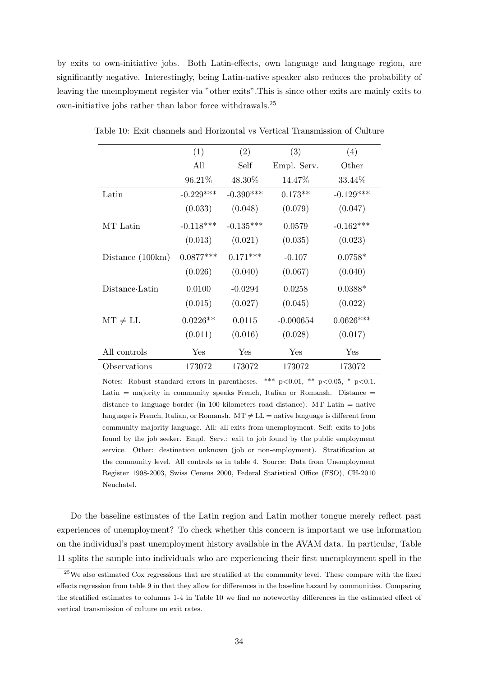by exits to own-initiative jobs. Both Latin-effects, own language and language region, are significantly negative. Interestingly, being Latin-native speaker also reduces the probability of leaving the unemployment register via "other exits".This is since other exits are mainly exits to own-initiative jobs rather than labor force withdrawals.<sup>25</sup>

|                    | (1)         | (2)         | (3)         | (4)         |  |
|--------------------|-------------|-------------|-------------|-------------|--|
|                    | All         | Self        | Empl. Serv. | Other       |  |
|                    | 96.21%      | 48.30%      | 14.47%      | 33.44\%     |  |
| Latin              | $-0.229***$ | $-0.390***$ | $0.173**$   | $-0.129***$ |  |
|                    | (0.033)     | (0.048)     | (0.079)     | (0.047)     |  |
| MT Latin           | $-0.118***$ | $-0.135***$ | 0.0579      | $-0.162***$ |  |
|                    | (0.013)     | (0.021)     | (0.035)     | (0.023)     |  |
| Distance $(100km)$ | $0.0877***$ | $0.171***$  | $-0.107$    | $0.0758*$   |  |
|                    | (0.026)     | (0.040)     | (0.067)     | (0.040)     |  |
| Distance Latin     | 0.0100      | $-0.0294$   | 0.0258      | $0.0388*$   |  |
|                    | (0.015)     | (0.027)     | (0.045)     | (0.022)     |  |
| $MT \neq LL$       | $0.0226**$  | 0.0115      | $-0.000654$ | $0.0626***$ |  |
|                    | (0.011)     | (0.016)     | (0.028)     | (0.017)     |  |
| All controls       | Yes         | Yes         | Yes         | Yes         |  |
| Observations       | 173072      | 173072      | 173072      | 173072      |  |

Table 10: Exit channels and Horizontal vs Vertical Transmission of Culture

Notes: Robust standard errors in parentheses. \*\*\*  $p<0.01$ , \*\*  $p<0.05$ , \*  $p<0.1$ . Latin  $=$  majority in community speaks French, Italian or Romansh. Distance  $=$ distance to language border (in 100 kilometers road distance). MT Latin  $=$  native language is French, Italian, or Romansh.  $MT \neq LL =$  native language is different from community majority language. All: all exits from unemployment. Self: exits to jobs found by the job seeker. Empl. Serv.: exit to job found by the public employment service. Other: destination unknown (job or non-employment). Stratification at the community level. All controls as in table 4. Source: Data from Unemployment Register 1998-2003, Swiss Census 2000, Federal Statistical Office (FSO), CH-2010 Neuchatel.

Do the baseline estimates of the Latin region and Latin mother tongue merely reflect past experiences of unemployment? To check whether this concern is important we use information on the individual's past unemployment history available in the AVAM data. In particular, Table 11 splits the sample into individuals who are experiencing their first unemployment spell in the

<sup>&</sup>lt;sup>25</sup>We also estimated Cox regressions that are stratified at the community level. These compare with the fixed effects regression from table 9 in that they allow for differences in the baseline hazard by communities. Comparing the stratified estimates to columns 1-4 in Table 10 we find no noteworthy differences in the estimated effect of vertical transmission of culture on exit rates.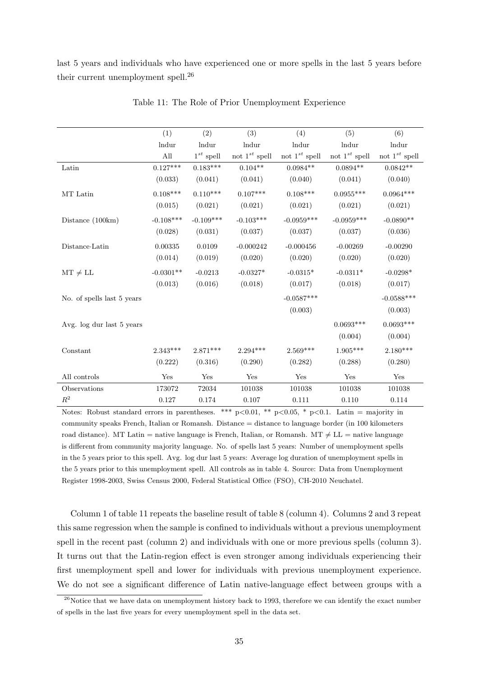last 5 years and individuals who have experienced one or more spells in the last 5 years before their current unemployment spell.<sup>26</sup>

|                            | (1)         | (2)            | (3)                | (4)                | (5)                  | (6)                |
|----------------------------|-------------|----------------|--------------------|--------------------|----------------------|--------------------|
|                            | lndur       | lndur          | lndur              | lndur              | lndur                | lndur              |
|                            | All         | $1^{st}$ spell | not $1^{st}$ spell | not $1^{st}$ spell | not $1^{st}$ spell   | not $1^{st}$ spell |
| Latin                      | $0.127***$  | $0.183***$     | $0.104**$          | $0.0984**$         | $0.0894**$           | $0.0842**$         |
|                            | (0.033)     | (0.041)        | (0.041)            | (0.040)            | (0.041)              | (0.040)            |
| MT Latin                   | $0.108***$  | $0.110***$     | $0.107***$         | $0.108***$         | $0.0955***$          | $0.0964***$        |
|                            | (0.015)     | (0.021)        | (0.021)            | (0.021)            | (0.021)              | (0.021)            |
| Distance $(100km)$         | $-0.108***$ | $-0.109***$    | $-0.103***$        | $-0.0959***$       | $-0.0959***$         | $-0.0890**$        |
|                            | (0.028)     | (0.031)        | (0.037)            | (0.037)            | (0.037)              | (0.036)            |
| Distance Latin             | 0.00335     | 0.0109         | $-0.000242$        | $-0.000456$        | $-0.00269$           | $-0.00290$         |
|                            | (0.014)     | (0.019)        | (0.020)            | (0.020)            | (0.020)              | (0.020)            |
| $MT \neq LL$               | $-0.0301**$ | $-0.0213$      | $-0.0327*$         | $-0.0315*$         | $-0.0311*$           | $-0.0298*$         |
|                            | (0.013)     | (0.016)        | (0.018)            | (0.017)            | (0.018)              | (0.017)            |
| No. of spells last 5 years |             |                |                    | $-0.0587***$       |                      | $-0.0588***$       |
|                            |             |                |                    | (0.003)            |                      | (0.003)            |
| Avg. log dur last 5 years  |             |                |                    |                    | $0.0693***$          | $0.0693***$        |
|                            |             |                |                    |                    | (0.004)              | (0.004)            |
| Constant                   | $2.343***$  | $2.871***$     | $2.294***$         | $2.569***$         | $1.905***$           | $2.180***$         |
|                            | (0.222)     | (0.316)        | (0.290)            | (0.282)            | (0.288)              | (0.280)            |
| All controls               | Yes         | Yes            | Yes                | Yes                | $\operatorname{Yes}$ | Yes                |
| Observations               | 173072      | 72034          | 101038             | 101038             | 101038               | 101038             |
| $R^2$                      | 0.127       | 0.174          | 0.107              | 0.111              | 0.110                | 0.114              |

Table 11: The Role of Prior Unemployment Experience

Notes: Robust standard errors in parentheses. \*\*\* p<0.01, \*\* p<0.05, \* p<0.1. Latin = majority in community speaks French, Italian or Romansh. Distance = distance to language border (in 100 kilometers road distance). MT Latin = native language is French, Italian, or Romansh. MT  $\neq$  LL = native language is different from community majority language. No. of spells last 5 years: Number of unemployment spells in the 5 years prior to this spell. Avg. log dur last 5 years: Average log duration of unemployment spells in the 5 years prior to this unemployment spell. All controls as in table 4. Source: Data from Unemployment Register 1998-2003, Swiss Census 2000, Federal Statistical Office (FSO), CH-2010 Neuchatel.

Column 1 of table 11 repeats the baseline result of table 8 (column 4). Columns 2 and 3 repeat this same regression when the sample is confined to individuals without a previous unemployment spell in the recent past (column 2) and individuals with one or more previous spells (column 3). It turns out that the Latin-region effect is even stronger among individuals experiencing their first unemployment spell and lower for individuals with previous unemployment experience. We do not see a significant difference of Latin native-language effect between groups with a

 $26$ Notice that we have data on unemployment history back to 1993, therefore we can identify the exact number of spells in the last five years for every unemployment spell in the data set.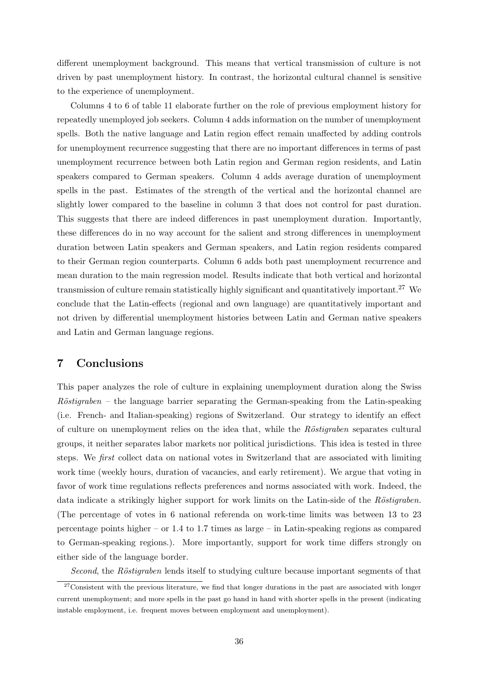different unemployment background. This means that vertical transmission of culture is not driven by past unemployment history. In contrast, the horizontal cultural channel is sensitive to the experience of unemployment.

Columns 4 to 6 of table 11 elaborate further on the role of previous employment history for repeatedly unemployed job seekers. Column 4 adds information on the number of unemployment spells. Both the native language and Latin region effect remain unaffected by adding controls for unemployment recurrence suggesting that there are no important differences in terms of past unemployment recurrence between both Latin region and German region residents, and Latin speakers compared to German speakers. Column 4 adds average duration of unemployment spells in the past. Estimates of the strength of the vertical and the horizontal channel are slightly lower compared to the baseline in column 3 that does not control for past duration. This suggests that there are indeed differences in past unemployment duration. Importantly, these differences do in no way account for the salient and strong differences in unemployment duration between Latin speakers and German speakers, and Latin region residents compared to their German region counterparts. Column 6 adds both past unemployment recurrence and mean duration to the main regression model. Results indicate that both vertical and horizontal transmission of culture remain statistically highly significant and quantitatively important.<sup>27</sup> We conclude that the Latin-effects (regional and own language) are quantitatively important and not driven by differential unemployment histories between Latin and German native speakers and Latin and German language regions.

# 7 Conclusions

This paper analyzes the role of culture in explaining unemployment duration along the Swiss  $Röstigraben - the language barrier separating the German-speaking from the Latin-speaking$ (i.e. French- and Italian-speaking) regions of Switzerland. Our strategy to identify an effect of culture on unemployment relies on the idea that, while the  $Röstigraphen$  separates cultural groups, it neither separates labor markets nor political jurisdictions. This idea is tested in three steps. We first collect data on national votes in Switzerland that are associated with limiting work time (weekly hours, duration of vacancies, and early retirement). We argue that voting in favor of work time regulations reflects preferences and norms associated with work. Indeed, the data indicate a strikingly higher support for work limits on the Latin-side of the Röstigraben. (The percentage of votes in 6 national referenda on work-time limits was between 13 to 23 percentage points higher – or 1.4 to 1.7 times as large – in Latin-speaking regions as compared to German-speaking regions.). More importantly, support for work time differs strongly on either side of the language border.

Second, the Röstigraben lends itself to studying culture because important segments of that

 $27$ Consistent with the previous literature, we find that longer durations in the past are associated with longer current unemployment; and more spells in the past go hand in hand with shorter spells in the present (indicating instable employment, i.e. frequent moves between employment and unemployment).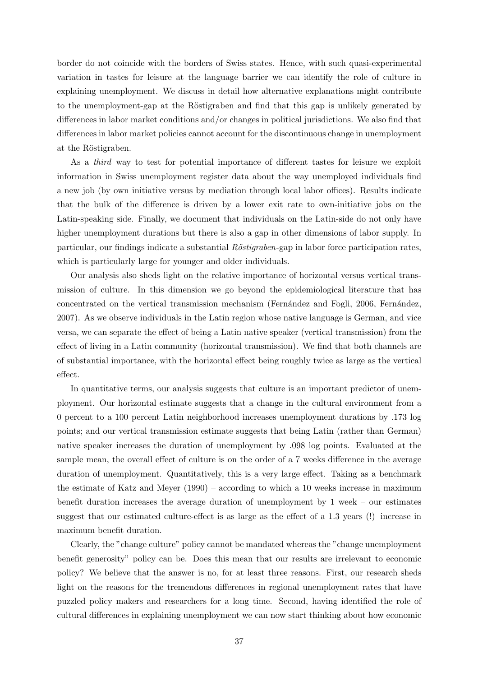border do not coincide with the borders of Swiss states. Hence, with such quasi-experimental variation in tastes for leisure at the language barrier we can identify the role of culture in explaining unemployment. We discuss in detail how alternative explanations might contribute to the unemployment-gap at the Röstigraben and find that this gap is unlikely generated by differences in labor market conditions and/or changes in political jurisdictions. We also find that differences in labor market policies cannot account for the discontinuous change in unemployment at the Röstigraben.

As a third way to test for potential importance of different tastes for leisure we exploit information in Swiss unemployment register data about the way unemployed individuals find a new job (by own initiative versus by mediation through local labor offices). Results indicate that the bulk of the difference is driven by a lower exit rate to own-initiative jobs on the Latin-speaking side. Finally, we document that individuals on the Latin-side do not only have higher unemployment durations but there is also a gap in other dimensions of labor supply. In particular, our findings indicate a substantial Röstigraben-gap in labor force participation rates, which is particularly large for younger and older individuals.

Our analysis also sheds light on the relative importance of horizontal versus vertical transmission of culture. In this dimension we go beyond the epidemiological literature that has concentrated on the vertical transmission mechanism (Fernández and Fogli, 2006, Fernández, 2007). As we observe individuals in the Latin region whose native language is German, and vice versa, we can separate the effect of being a Latin native speaker (vertical transmission) from the effect of living in a Latin community (horizontal transmission). We find that both channels are of substantial importance, with the horizontal effect being roughly twice as large as the vertical effect.

In quantitative terms, our analysis suggests that culture is an important predictor of unemployment. Our horizontal estimate suggests that a change in the cultural environment from a 0 percent to a 100 percent Latin neighborhood increases unemployment durations by .173 log points; and our vertical transmission estimate suggests that being Latin (rather than German) native speaker increases the duration of unemployment by .098 log points. Evaluated at the sample mean, the overall effect of culture is on the order of a 7 weeks difference in the average duration of unemployment. Quantitatively, this is a very large effect. Taking as a benchmark the estimate of Katz and Meyer (1990) – according to which a 10 weeks increase in maximum benefit duration increases the average duration of unemployment by 1 week – our estimates suggest that our estimated culture-effect is as large as the effect of a 1.3 years (!) increase in maximum benefit duration.

Clearly, the "change culture" policy cannot be mandated whereas the "change unemployment benefit generosity" policy can be. Does this mean that our results are irrelevant to economic policy? We believe that the answer is no, for at least three reasons. First, our research sheds light on the reasons for the tremendous differences in regional unemployment rates that have puzzled policy makers and researchers for a long time. Second, having identified the role of cultural differences in explaining unemployment we can now start thinking about how economic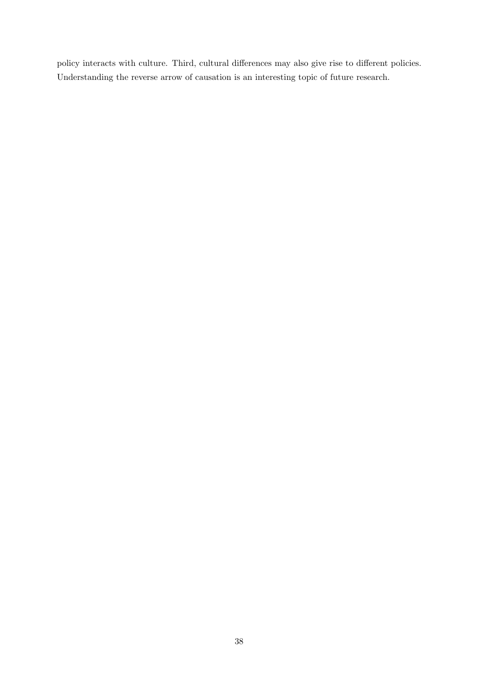policy interacts with culture. Third, cultural differences may also give rise to different policies. Understanding the reverse arrow of causation is an interesting topic of future research.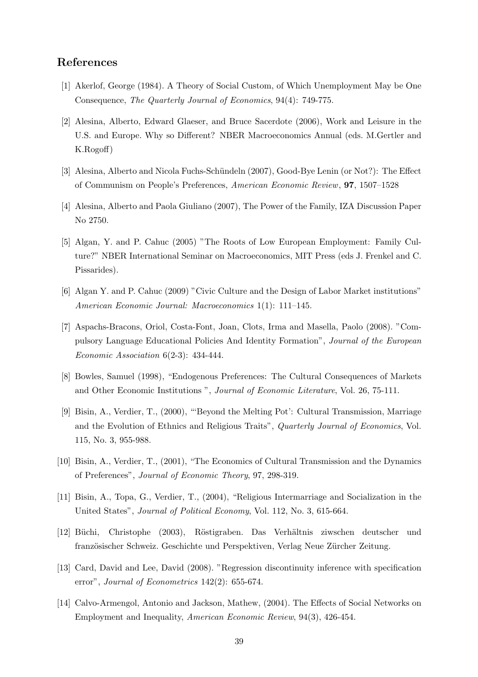## References

- [1] Akerlof, George (1984). A Theory of Social Custom, of Which Unemployment May be One Consequence, The Quarterly Journal of Economics, 94(4): 749-775.
- [2] Alesina, Alberto, Edward Glaeser, and Bruce Sacerdote (2006), Work and Leisure in the U.S. and Europe. Why so Different? NBER Macroeconomics Annual (eds. M.Gertler and K.Rogoff)
- [3] Alesina, Alberto and Nicola Fuchs-Schündeln (2007), Good-Bye Lenin (or Not?): The Effect of Communism on People's Preferences, American Economic Review, 97, 1507–1528
- [4] Alesina, Alberto and Paola Giuliano (2007), The Power of the Family, IZA Discussion Paper No 2750.
- [5] Algan, Y. and P. Cahuc (2005) "The Roots of Low European Employment: Family Culture?" NBER International Seminar on Macroeconomics, MIT Press (eds J. Frenkel and C. Pissarides).
- [6] Algan Y. and P. Cahuc (2009) "Civic Culture and the Design of Labor Market institutions" American Economic Journal: Macroeconomics 1(1): 111–145.
- [7] Aspachs-Bracons, Oriol, Costa-Font, Joan, Clots, Irma and Masella, Paolo (2008). "Compulsory Language Educational Policies And Identity Formation", Journal of the European Economic Association 6(2-3): 434-444.
- [8] Bowles, Samuel (1998), "Endogenous Preferences: The Cultural Consequences of Markets and Other Economic Institutions ", Journal of Economic Literature, Vol. 26, 75-111.
- [9] Bisin, A., Verdier, T., (2000), "'Beyond the Melting Pot': Cultural Transmission, Marriage and the Evolution of Ethnics and Religious Traits", Quarterly Journal of Economics, Vol. 115, No. 3, 955-988.
- [10] Bisin, A., Verdier, T., (2001), "The Economics of Cultural Transmission and the Dynamics of Preferences", Journal of Economic Theory, 97, 298-319.
- [11] Bisin, A., Topa, G., Verdier, T., (2004), "Religious Intermarriage and Socialization in the United States", Journal of Political Economy, Vol. 112, No. 3, 615-664.
- [12] Büchi, Christophe (2003), Röstigraben. Das Verhältnis ziwschen deutscher und französischer Schweiz. Geschichte und Perspektiven, Verlag Neue Zürcher Zeitung.
- [13] Card, David and Lee, David (2008). "Regression discontinuity inference with specification error", Journal of Econometrics 142(2): 655-674.
- [14] Calvo-Armengol, Antonio and Jackson, Mathew, (2004). The Effects of Social Networks on Employment and Inequality, American Economic Review, 94(3), 426-454.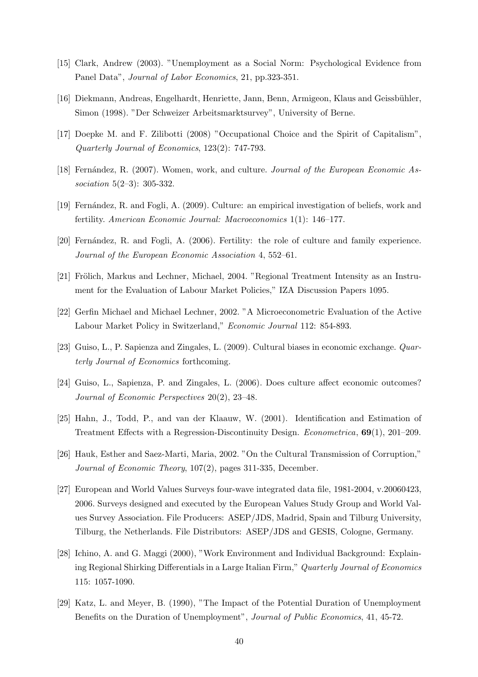- [15] Clark, Andrew (2003). "Unemployment as a Social Norm: Psychological Evidence from Panel Data", Journal of Labor Economics, 21, pp.323-351.
- [16] Diekmann, Andreas, Engelhardt, Henriette, Jann, Benn, Armigeon, Klaus and Geissbühler, Simon (1998). "Der Schweizer Arbeitsmarktsurvey", University of Berne.
- [17] Doepke M. and F. Zilibotti (2008) "Occupational Choice and the Spirit of Capitalism", Quarterly Journal of Economics, 123(2): 747-793.
- [18] Fernández, R. (2007). Women, work, and culture. Journal of the European Economic Association 5(2–3): 305-332.
- [19] Fern´andez, R. and Fogli, A. (2009). Culture: an empirical investigation of beliefs, work and fertility. American Economic Journal: Macroeconomics 1(1): 146–177.
- [20] Fernández, R. and Fogli, A. (2006). Fertility: the role of culture and family experience. Journal of the European Economic Association 4, 552–61.
- [21] Frölich, Markus and Lechner, Michael, 2004. "Regional Treatment Intensity as an Instrument for the Evaluation of Labour Market Policies," IZA Discussion Papers 1095.
- [22] Gerfin Michael and Michael Lechner, 2002. "A Microeconometric Evaluation of the Active Labour Market Policy in Switzerland," Economic Journal 112: 854-893.
- [23] Guiso, L., P. Sapienza and Zingales, L. (2009). Cultural biases in economic exchange. Quarterly Journal of Economics forthcoming.
- [24] Guiso, L., Sapienza, P. and Zingales, L. (2006). Does culture affect economic outcomes? Journal of Economic Perspectives 20(2), 23–48.
- [25] Hahn, J., Todd, P., and van der Klaauw, W. (2001). Identification and Estimation of Treatment Effects with a Regression-Discontinuity Design. Econometrica, 69(1), 201–209.
- [26] Hauk, Esther and Saez-Marti, Maria, 2002. "On the Cultural Transmission of Corruption," Journal of Economic Theory, 107(2), pages 311-335, December.
- [27] European and World Values Surveys four-wave integrated data file, 1981-2004, v.20060423, 2006. Surveys designed and executed by the European Values Study Group and World Values Survey Association. File Producers: ASEP/JDS, Madrid, Spain and Tilburg University, Tilburg, the Netherlands. File Distributors: ASEP/JDS and GESIS, Cologne, Germany.
- [28] Ichino, A. and G. Maggi (2000), "Work Environment and Individual Background: Explaining Regional Shirking Differentials in a Large Italian Firm," Quarterly Journal of Economics 115: 1057-1090.
- [29] Katz, L. and Meyer, B. (1990), "The Impact of the Potential Duration of Unemployment Benefits on the Duration of Unemployment", Journal of Public Economics, 41, 45-72.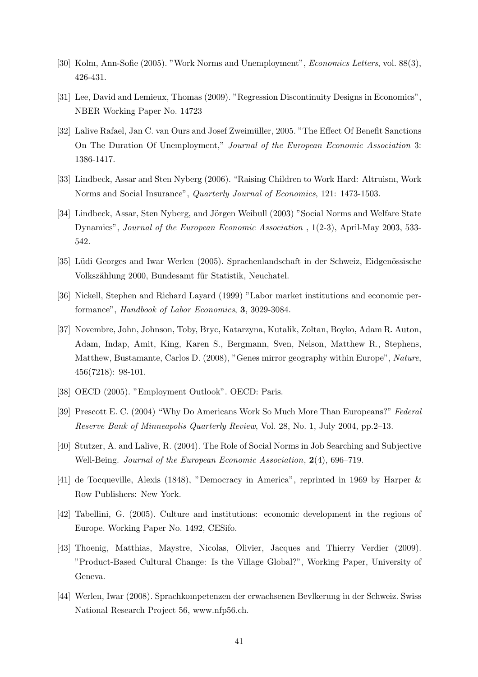- [30] Kolm, Ann-Sofie (2005). "Work Norms and Unemployment", Economics Letters, vol. 88(3), 426-431.
- [31] Lee, David and Lemieux, Thomas (2009). "Regression Discontinuity Designs in Economics", NBER Working Paper No. 14723
- [32] Lalive Rafael, Jan C. van Ours and Josef Zweimüller, 2005. "The Effect Of Benefit Sanctions On The Duration Of Unemployment," Journal of the European Economic Association 3: 1386-1417.
- [33] Lindbeck, Assar and Sten Nyberg (2006). "Raising Children to Work Hard: Altruism, Work Norms and Social Insurance", Quarterly Journal of Economics, 121: 1473-1503.
- [34] Lindbeck, Assar, Sten Nyberg, and Jörgen Weibull (2003) "Social Norms and Welfare State Dynamics", Journal of the European Economic Association , 1(2-3), April-May 2003, 533- 542.
- [35] Lüdi Georges and Iwar Werlen (2005). Sprachenlandschaft in der Schweiz, Eidgenössische Volkszählung 2000, Bundesamt für Statistik, Neuchatel.
- [36] Nickell, Stephen and Richard Layard (1999) "Labor market institutions and economic performance", Handbook of Labor Economics, 3, 3029-3084.
- [37] Novembre, John, Johnson, Toby, Bryc, Katarzyna, Kutalik, Zoltan, Boyko, Adam R. Auton, Adam, Indap, Amit, King, Karen S., Bergmann, Sven, Nelson, Matthew R., Stephens, Matthew, Bustamante, Carlos D. (2008), "Genes mirror geography within Europe", Nature, 456(7218): 98-101.
- [38] OECD (2005). "Employment Outlook". OECD: Paris.
- [39] Prescott E. C. (2004) "Why Do Americans Work So Much More Than Europeans?" Federal Reserve Bank of Minneapolis Quarterly Review, Vol. 28, No. 1, July 2004, pp.2–13.
- [40] Stutzer, A. and Lalive, R. (2004). The Role of Social Norms in Job Searching and Subjective Well-Being. *Journal of the European Economic Association*, 2(4), 696–719.
- [41] de Tocqueville, Alexis (1848), "Democracy in America", reprinted in 1969 by Harper & Row Publishers: New York.
- [42] Tabellini, G. (2005). Culture and institutions: economic development in the regions of Europe. Working Paper No. 1492, CESifo.
- [43] Thoenig, Matthias, Maystre, Nicolas, Olivier, Jacques and Thierry Verdier (2009). "Product-Based Cultural Change: Is the Village Global?", Working Paper, University of Geneva.
- [44] Werlen, Iwar (2008). Sprachkompetenzen der erwachsenen Bevlkerung in der Schweiz. Swiss National Research Project 56, www.nfp56.ch.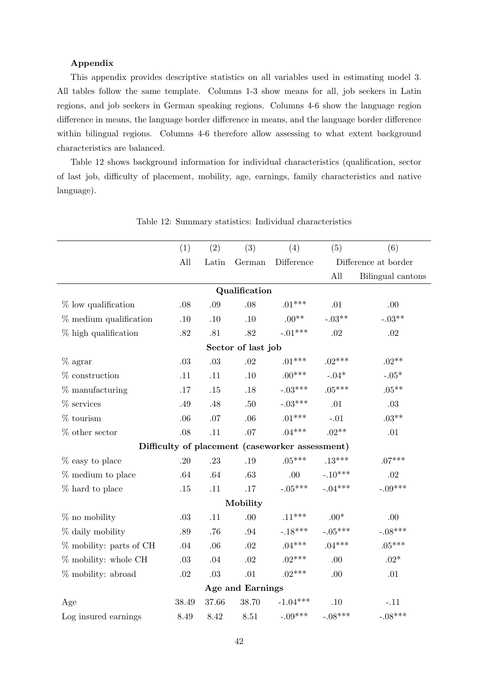#### Appendix

This appendix provides descriptive statistics on all variables used in estimating model 3. All tables follow the same template. Columns 1-3 show means for all, job seekers in Latin regions, and job seekers in German speaking regions. Columns 4-6 show the language region difference in means, the language border difference in means, and the language border difference within bilingual regions. Columns 4-6 therefore allow assessing to what extent background characteristics are balanced.

Table 12 shows background information for individual characteristics (qualification, sector of last job, difficulty of placement, mobility, age, earnings, family characteristics and native language).

|                            | (1)     | (2)     | (3)                | (4)                                             | (5)       | (6)                  |
|----------------------------|---------|---------|--------------------|-------------------------------------------------|-----------|----------------------|
|                            | All     | Latin   | German             | Difference                                      |           | Difference at border |
|                            |         |         |                    |                                                 | All       | Bilingual cantons    |
|                            |         |         | Qualification      |                                                 |           |                      |
| $\%$ low qualification     | $.08$   | .09     | .08                | $.01***$                                        | .01       | .00                  |
| $%$ medium qualification   | $.10\,$ | .10     | .10                | $.00**$                                         | $-.03**$  | $-.03**$             |
| $%$ high qualification     | $.82\,$ | .81     | $.82\,$            | $-.01***$                                       | .02       | $.02\,$              |
|                            |         |         | Sector of last job |                                                 |           |                      |
| $%$ agrar                  | $.03\,$ | $.03\,$ | $.02\,$            | $.01***$                                        | $.02***$  | $.02**$              |
| $%$ construction           | .11     | .11     | .10                | $.00***$                                        | $-.04*$   | $-.05*$              |
| $%$ manufacturing          | .17     | $.15\,$ | .18                | $-.03***$                                       | $.05***$  | $.05***$             |
| $%$ services               | .49     | .48     | .50                | $-.03***$                                       | .01       | .03                  |
| $\%$ tourism               | .06     | $.07$   | .06                | $.01***$                                        | $-.01$    | $.03**$              |
| $\%$ other sector          | $.08\,$ | .11     | .07                | $.04***$                                        | $.02**$   | $.01\,$              |
|                            |         |         |                    | Difficulty of placement (caseworker assessment) |           |                      |
| % easy to place            | .20     | .23     | .19                | $.05***$                                        | $.13***$  | $.07***$             |
| $%$ medium to place        | .64     | .64     | .63                | .00                                             | $-.10***$ | .02                  |
| % hard to place            | .15     | .11     | .17                | $-.05***$                                       | $-.04***$ | $-.09***$            |
|                            |         |         | Mobility           |                                                 |           |                      |
| $%$ no mobility            | .03     | .11     | .00                | $.11***$                                        | $.00*$    | .00                  |
| % daily mobility           | .89     | .76     | $.94\,$            | $-.18***$                                       | $-.05***$ | $-.08***$            |
| $\%$ mobility: parts of CH | .04     | .06     | $.02\,$            | $.04***$                                        | $.04***$  | $.05***$             |
| $%$ mobility: whole CH     | $.03\,$ | .04     | $.02\,$            | $.02***$                                        | .00       | $.02*$               |
| % mobility: abroad         | $.02\,$ | $.03\,$ | .01                | $.02***$                                        | .00.      | $.01\,$              |
|                            |         |         | Age and Earnings   |                                                 |           |                      |
| Age                        | 38.49   | 37.66   | 38.70              | $-1.04***$                                      | .10       | $-.11$               |
| Log insured earnings       | 8.49    | 8.42    | 8.51               | $-.09***$                                       | $-.08***$ | $-.08***$            |

Table 12: Summary statistics: Individual characteristics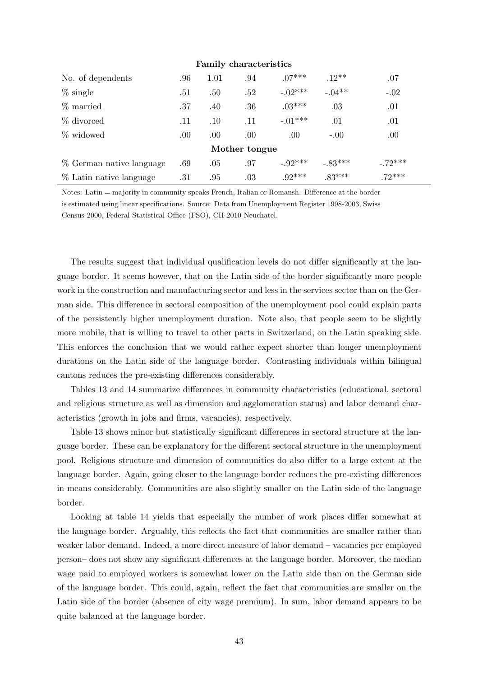| <b>rammy</b> character hours |     |      |     |            |           |           |  |  |  |
|------------------------------|-----|------|-----|------------|-----------|-----------|--|--|--|
| No. of dependents            | .96 | 1.01 | .94 | $.07***$   | $.12**$   | .07       |  |  |  |
| $\%$ single                  | .51 | .50  | .52 | $-.02***$  | $-.04**$  | $-.02$    |  |  |  |
| % married                    | .37 | .40  | .36 | $.03***$   | .03       | .01       |  |  |  |
| % divorced                   | .11 | .10  | .11 | $-.01***$  | .01       | .01       |  |  |  |
| % widowed                    | .00 | .00  | .00 | .00.       | $-.00.$   | .00.      |  |  |  |
| Mother tongue                |     |      |     |            |           |           |  |  |  |
| % German native language     | .69 | .05  | .97 | $-0.92***$ | $-.83***$ | $-.72***$ |  |  |  |
| % Latin native language      | .31 | .95  | .03 | $92***$    | $.83***$  | $72***$   |  |  |  |

#### Family characteristics

Notes: Latin = majority in community speaks French, Italian or Romansh. Difference at the border is estimated using linear specifications. Source: Data from Unemployment Register 1998-2003, Swiss Census 2000, Federal Statistical Office (FSO), CH-2010 Neuchatel.

The results suggest that individual qualification levels do not differ significantly at the language border. It seems however, that on the Latin side of the border significantly more people work in the construction and manufacturing sector and less in the services sector than on the German side. This difference in sectoral composition of the unemployment pool could explain parts of the persistently higher unemployment duration. Note also, that people seem to be slightly more mobile, that is willing to travel to other parts in Switzerland, on the Latin speaking side. This enforces the conclusion that we would rather expect shorter than longer unemployment durations on the Latin side of the language border. Contrasting individuals within bilingual cantons reduces the pre-existing differences considerably.

Tables 13 and 14 summarize differences in community characteristics (educational, sectoral and religious structure as well as dimension and agglomeration status) and labor demand characteristics (growth in jobs and firms, vacancies), respectively.

Table 13 shows minor but statistically significant differences in sectoral structure at the language border. These can be explanatory for the different sectoral structure in the unemployment pool. Religious structure and dimension of communities do also differ to a large extent at the language border. Again, going closer to the language border reduces the pre-existing differences in means considerably. Communities are also slightly smaller on the Latin side of the language border.

Looking at table 14 yields that especially the number of work places differ somewhat at the language border. Arguably, this reflects the fact that communities are smaller rather than weaker labor demand. Indeed, a more direct measure of labor demand – vacancies per employed person– does not show any significant differences at the language border. Moreover, the median wage paid to employed workers is somewhat lower on the Latin side than on the German side of the language border. This could, again, reflect the fact that communities are smaller on the Latin side of the border (absence of city wage premium). In sum, labor demand appears to be quite balanced at the language border.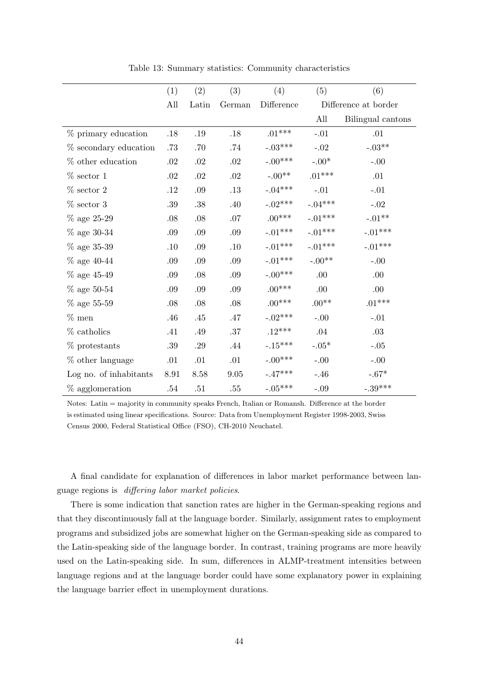|                        | (1)     | (2)     | (3)         | (4)         | (5)         | (6)                  |
|------------------------|---------|---------|-------------|-------------|-------------|----------------------|
|                        | All     | Latin   | German      | Difference  |             | Difference at border |
|                        |         |         |             |             | All         | Bilingual cantons    |
| % primary education    | .18     | .19     | .18         | $.01***$    | $-.01$      | .01                  |
| % secondary education  | $.73\,$ | .70     | .74         | $-.03***$   | $-.02$      | $-.03**$             |
| % other education      | .02     | .02     | .02         | $-.00***$   | $-.00^*$    | $-.00$               |
| $\%$ sector $1$        | $.02\,$ | $.02\,$ | $.02\,$     | $-.00^{**}$ | $.01***$    | .01                  |
| $%$ sector 2           | .12     | $.09\,$ | $.13\,$     | $-.04***$   | $-.01$      | $-.01$               |
| $\%$ sector $3$        | $.39\,$ | $.38\,$ | .40         | $-.02***$   | $-.04***$   | $-.02$               |
| $%$ age 25-29          | .08     | $.08\,$ | .07         | $.00***$    | $-.01***$   | $-.01**$             |
| $%$ age 30-34          | .09     | $.09\,$ | .09         | $-.01***$   | $-.01***$   | $-.01***$            |
| $%$ age 35-39          | .10     | .09     | .10         | $-.01***$   | $-.01***$   | $-.01***$            |
| $\%$ age 40-44         | .09     | .09     | .09         | $-.01***$   | $-.00^{**}$ | $-.00$               |
| $%$ age 45-49          | .09     | $.08\,$ | .09         | $-.00***$   | .00.        | .00                  |
| $\%$ age 50-54         | .09     | .09     | .09         | $.00***$    | .00.        | .00.                 |
| $%$ age 55-59          | .08     | $.08\,$ | .08         | $.00***$    | $.00^{**}$  | $.01***$             |
| $%$ men                | .46     | .45     | .47         | $-.02***$   | $-.00$      | $-.01$               |
| $%$ catholics          | .41     | .49     | $.37\,$     | $.12***$    | .04         | $.03\,$              |
| $%$ protestants        | .39     | .29     | .44         | $-.15***$   | $-.05*$     | $-.05$               |
| % other language       | .01     | .01     | .01         | $-.00***$   | $-.00$      | $-.00$               |
| Log no. of inhabitants | 8.91    | 8.58    | $\ \, 9.05$ | $-.47***$   | $-.46$      | $-.67^{\ast}$        |
| $%$ agglomeration      | .54     | .51     | .55         | $-.05***$   | $-.09$      | $-.39***$            |

Table 13: Summary statistics: Community characteristics

Notes: Latin = majority in community speaks French, Italian or Romansh. Difference at the border is estimated using linear specifications. Source: Data from Unemployment Register 1998-2003, Swiss Census 2000, Federal Statistical Office (FSO), CH-2010 Neuchatel.

A final candidate for explanation of differences in labor market performance between language regions is differing labor market policies.

There is some indication that sanction rates are higher in the German-speaking regions and that they discontinuously fall at the language border. Similarly, assignment rates to employment programs and subsidized jobs are somewhat higher on the German-speaking side as compared to the Latin-speaking side of the language border. In contrast, training programs are more heavily used on the Latin-speaking side. In sum, differences in ALMP-treatment intensities between language regions and at the language border could have some explanatory power in explaining the language barrier effect in unemployment durations.